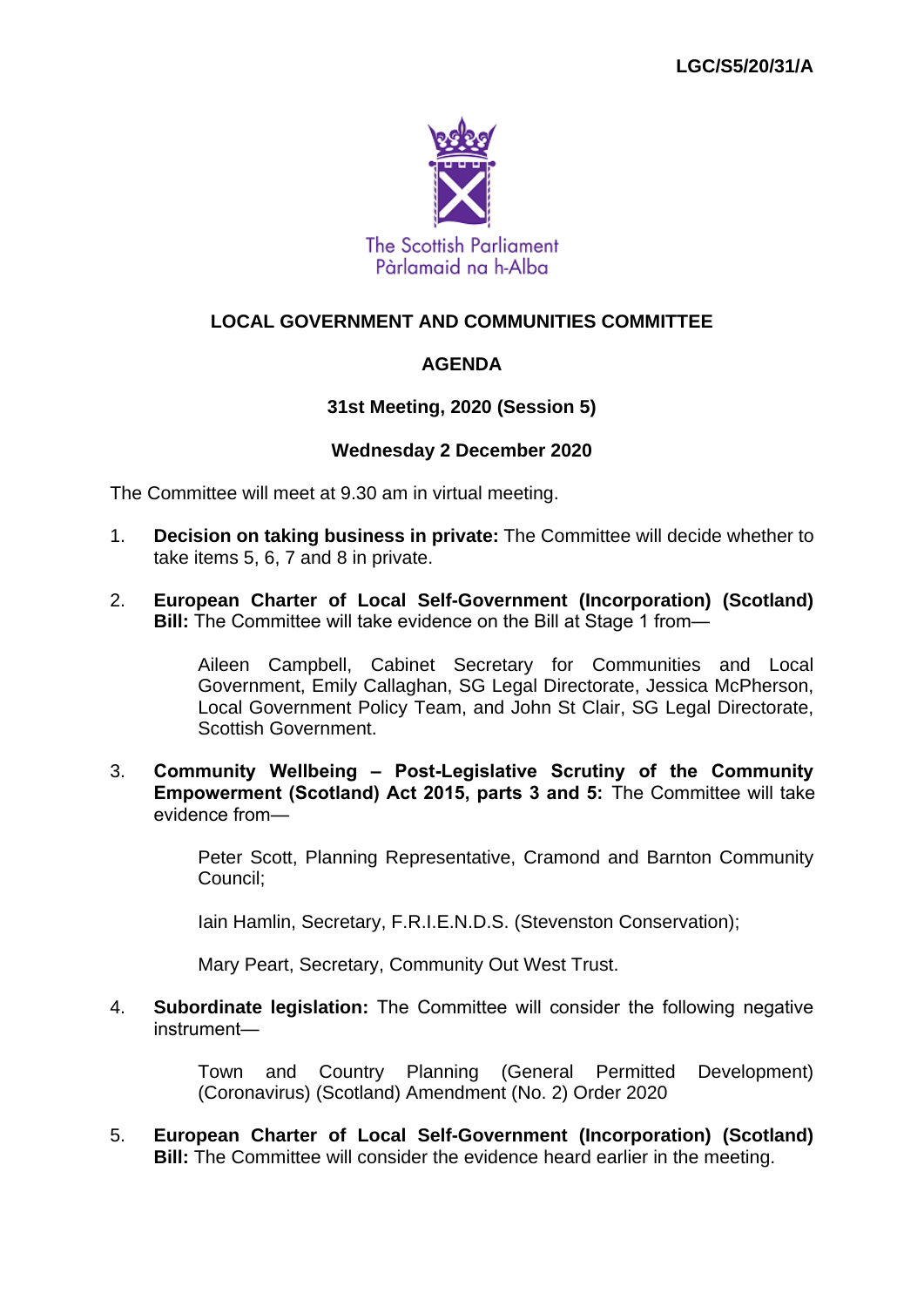

### **LOCAL GOVERNMENT AND COMMUNITIES COMMITTEE**

### **AGENDA**

### **31st Meeting, 2020 (Session 5)**

#### **Wednesday 2 December 2020**

The Committee will meet at 9.30 am in virtual meeting.

- 1. **Decision on taking business in private:** The Committee will decide whether to take items 5, 6, 7 and 8 in private.
- 2. **European Charter of Local Self-Government (Incorporation) (Scotland) Bill:** The Committee will take evidence on the Bill at Stage 1 from—

Aileen Campbell, Cabinet Secretary for Communities and Local Government, Emily Callaghan, SG Legal Directorate, Jessica McPherson, Local Government Policy Team, and John St Clair, SG Legal Directorate, Scottish Government.

3. **Community Wellbeing – Post-Legislative Scrutiny of the Community Empowerment (Scotland) Act 2015, parts 3 and 5:** The Committee will take evidence from—

> Peter Scott, Planning Representative, Cramond and Barnton Community Council;

Iain Hamlin, Secretary, F.R.I.E.N.D.S. (Stevenston Conservation);

Mary Peart, Secretary, Community Out West Trust.

4. **Subordinate legislation:** The Committee will consider the following negative instrument—

> Town and Country Planning (General Permitted Development) (Coronavirus) (Scotland) Amendment (No. 2) Order 2020

5. **European Charter of Local Self-Government (Incorporation) (Scotland) Bill:** The Committee will consider the evidence heard earlier in the meeting.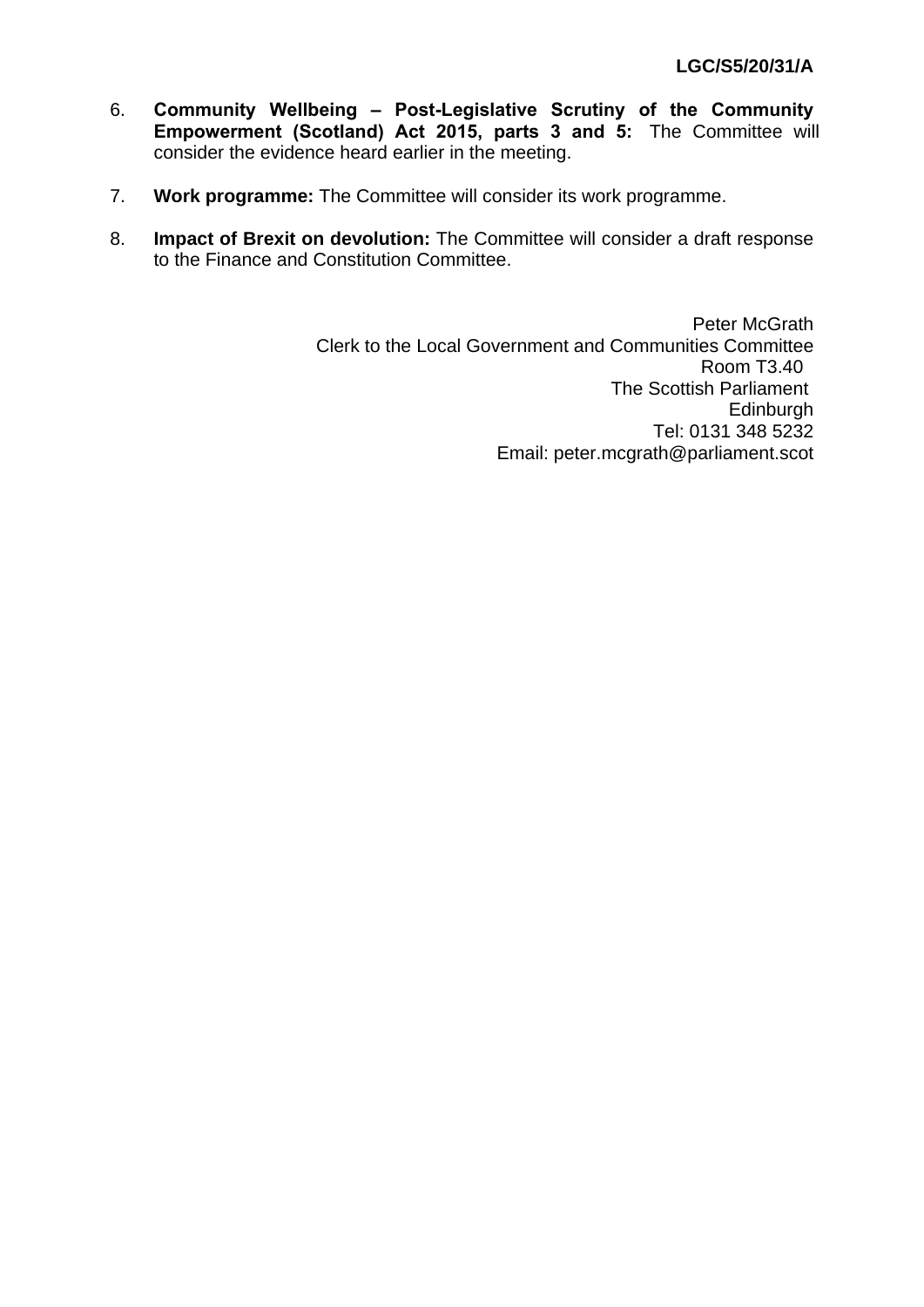- 6. **Community Wellbeing Post-Legislative Scrutiny of the Community Empowerment (Scotland) Act 2015, parts 3 and 5:** The Committee will consider the evidence heard earlier in the meeting.
- 7. **Work programme:** The Committee will consider its work programme.
- 8. **Impact of Brexit on devolution:** The Committee will consider a draft response to the Finance and Constitution Committee.

Peter McGrath Clerk to the Local Government and Communities Committee Room T3.40 The Scottish Parliament **Edinburgh** Tel: 0131 348 5232 Email: peter.mcgrath@parliament.scot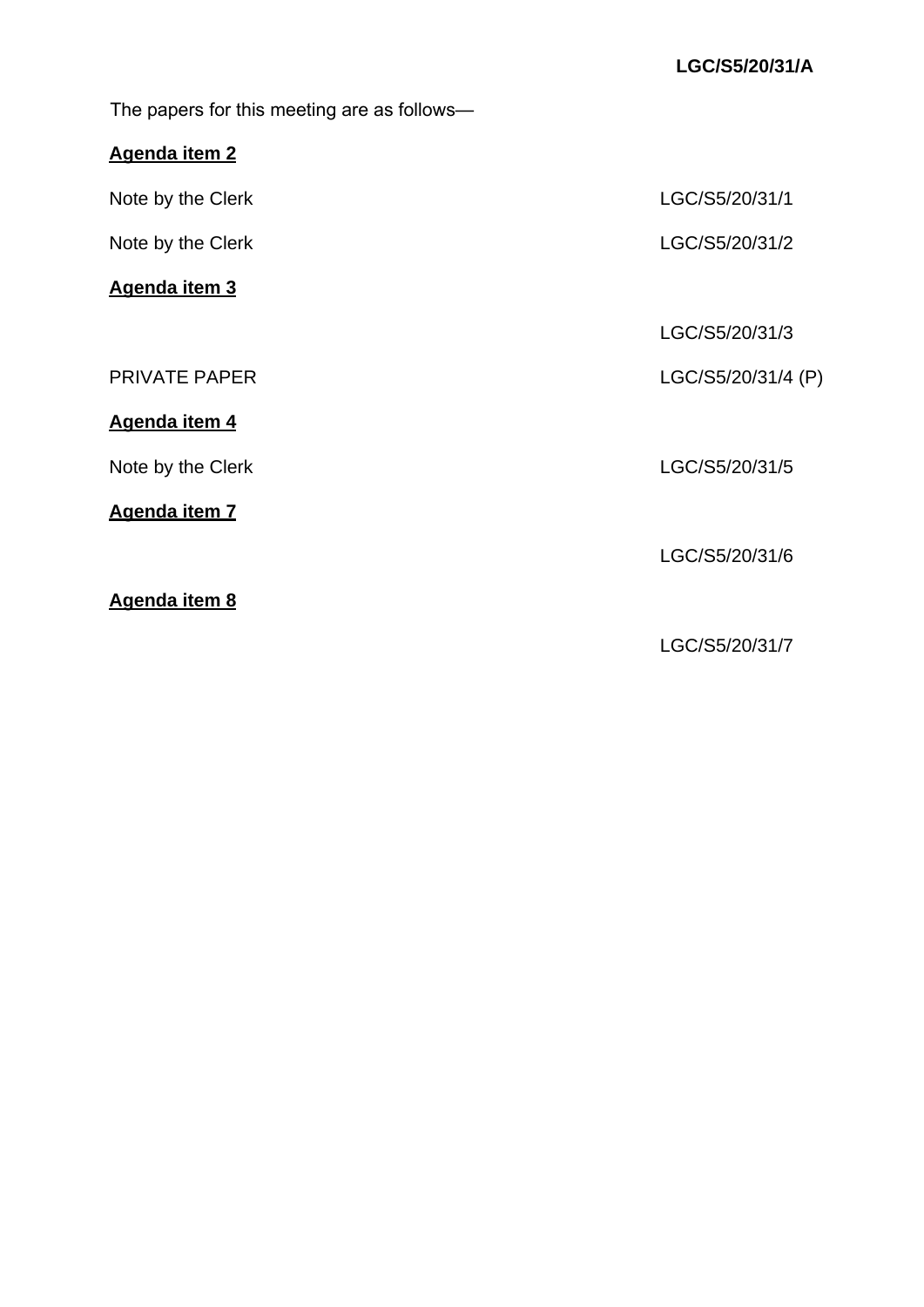The papers for this meeting are as follows—

# **Agenda item 2**

| Note by the Clerk    | LGC/S5/20/31/1     |
|----------------------|--------------------|
| Note by the Clerk    | LGC/S5/20/31/2     |
| Agenda item 3        |                    |
|                      | LGC/S5/20/31/3     |
| <b>PRIVATE PAPER</b> | LGC/S5/20/31/4 (P) |
| Agenda item 4        |                    |
| Note by the Clerk    | LGC/S5/20/31/5     |
| Agenda item 7        |                    |
|                      | LGC/S5/20/31/6     |
| Agenda item 8        |                    |
|                      | LGC/S5/20/31/7     |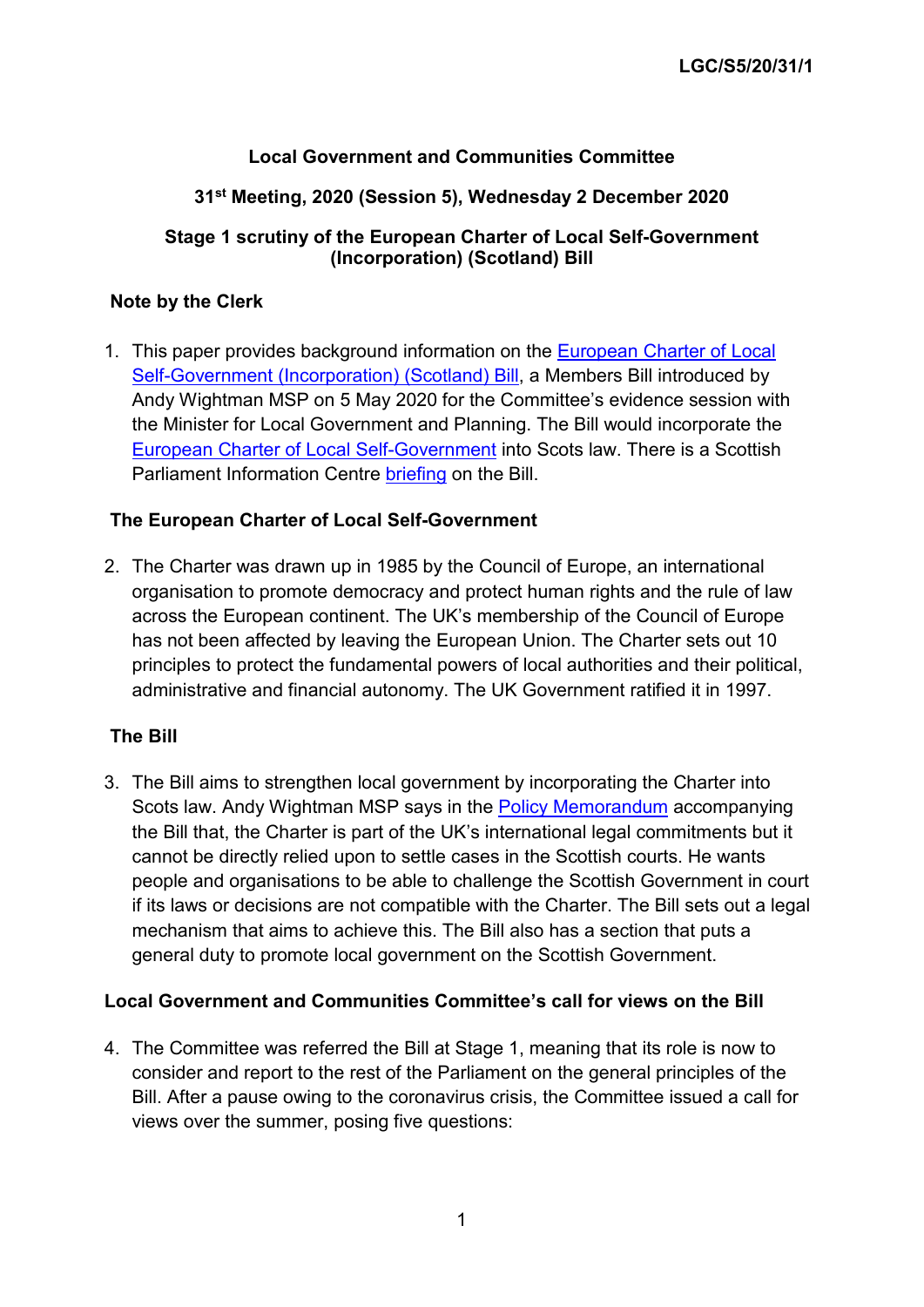# **Local Government and Communities Committee**

### **31st Meeting, 2020 (Session 5), Wednesday 2 December 2020**

### **Stage 1 scrutiny of the European Charter of Local Self-Government (Incorporation) (Scotland) Bill**

#### **Note by the Clerk**

1. This paper provides background information on the [European Charter of Local](https://beta.parliament.scot/bills/european-charter-of-local-self-government-incorporation-scotland-bill)  [Self-Government \(Incorporation\) \(Scotland\) Bill,](https://beta.parliament.scot/bills/european-charter-of-local-self-government-incorporation-scotland-bill) a Members Bill introduced by Andy Wightman MSP on 5 May 2020 for the Committee's evidence session with the Minister for Local Government and Planning. The Bill would incorporate the [European Charter of Local Self-Government](https://www.coe.int/en/web/conventions/full-list/-/conventions/treaty/122) into Scots law. There is a Scottish Parliament Information Centre [briefing](https://digitalpublications.parliament.scot/ResearchBriefings/Report/2020/11/10/European-Charter-of-Local-Self-Government--Incorporation---Scotland--Bill#Background) on the Bill.

### **The European Charter of Local Self-Government**

2. The Charter was drawn up in 1985 by the Council of Europe, an international organisation to promote democracy and protect human rights and the rule of law across the European continent. The UK's membership of the Council of Europe has not been affected by leaving the European Union. The Charter sets out 10 principles to protect the fundamental powers of local authorities and their political, administrative and financial autonomy. The UK Government ratified it in 1997.

### **The Bill**

3. The Bill aims to strengthen local government by incorporating the Charter into Scots law. Andy Wightman MSP says in the [Policy Memorandum](https://beta.parliament.scot/-/media/files/legislation/bills/current-bills/european-charter-of-local-self-government-incorporation-scotland-bill/introduced/policy-memorandum-european-charter-of-local-self-government-incorporation-scotland-bill.pdf) accompanying the Bill that, the Charter is part of the UK's international legal commitments but it cannot be directly relied upon to settle cases in the Scottish courts. He wants people and organisations to be able to challenge the Scottish Government in court if its laws or decisions are not compatible with the Charter. The Bill sets out a legal mechanism that aims to achieve this. The Bill also has a section that puts a general duty to promote local government on the Scottish Government.

### **Local Government and Communities Committee's call for views on the Bill**

4. The Committee was referred the Bill at Stage 1, meaning that its role is now to consider and report to the rest of the Parliament on the general principles of the Bill. After a pause owing to the coronavirus crisis, the Committee issued a call for views over the summer, posing five questions: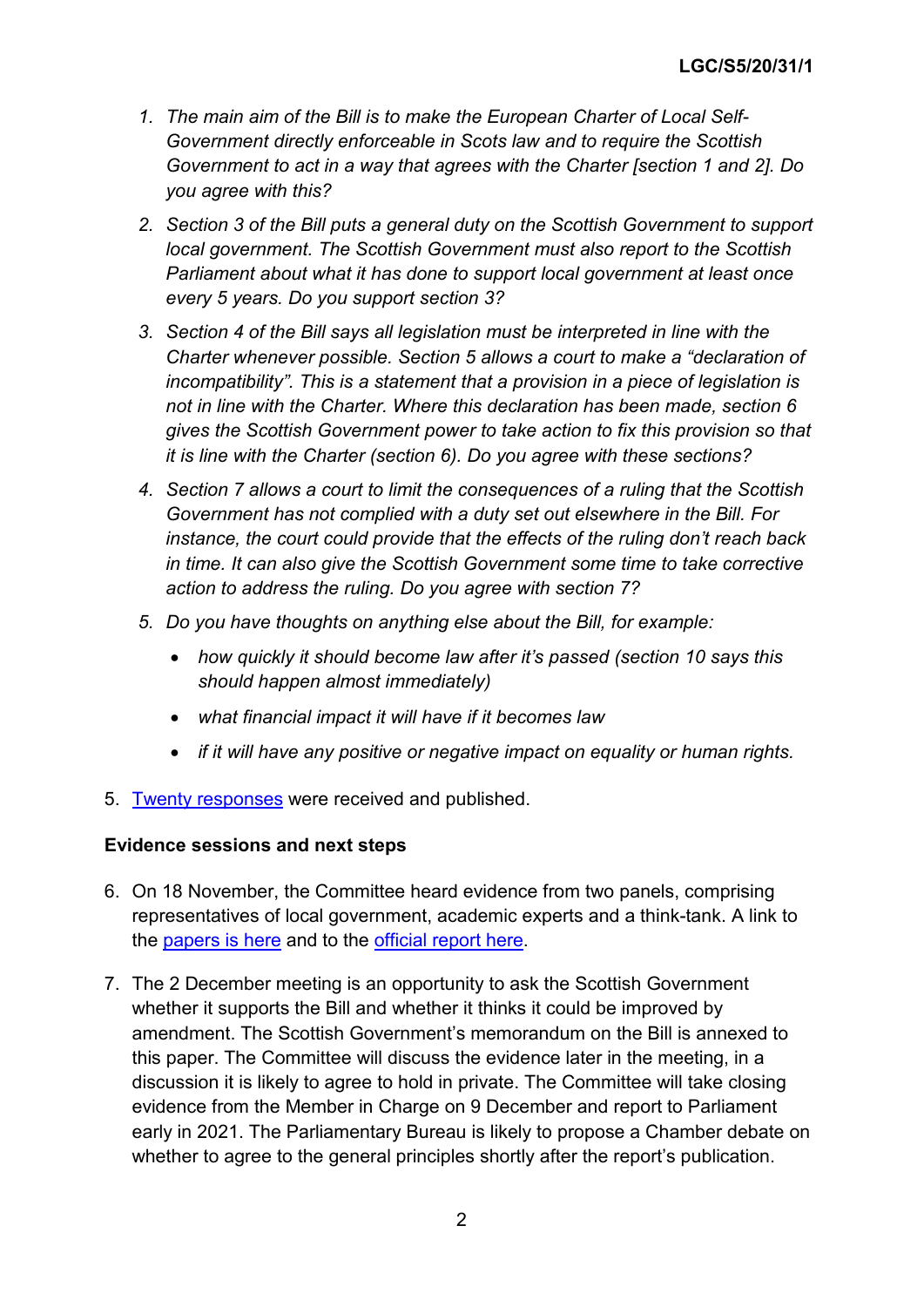- *1. The main aim of the Bill is to make the European Charter of Local Self-Government directly enforceable in Scots law and to require the Scottish Government to act in a way that agrees with the Charter [section 1 and 2]. Do you agree with this?*
- *2. Section 3 of the Bill puts a general duty on the Scottish Government to support local government. The Scottish Government must also report to the Scottish Parliament about what it has done to support local government at least once every 5 years. Do you support section 3?*
- *3. Section 4 of the Bill says all legislation must be interpreted in line with the Charter whenever possible. Section 5 allows a court to make a "declaration of incompatibility". This is a statement that a provision in a piece of legislation is not in line with the Charter. Where this declaration has been made, section 6 gives the Scottish Government power to take action to fix this provision so that it is line with the Charter (section 6). Do you agree with these sections?*
- *4. Section 7 allows a court to limit the consequences of a ruling that the Scottish Government has not complied with a duty set out elsewhere in the Bill. For instance, the court could provide that the effects of the ruling don't reach back in time. It can also give the Scottish Government some time to take corrective action to address the ruling. Do you agree with section 7?*
- *5. Do you have thoughts on anything else about the Bill, for example:* 
	- *how quickly it should become law after it's passed (section 10 says this should happen almost immediately)*
	- *what financial impact it will have if it becomes law*
	- *if it will have any positive or negative impact on equality or human rights.*
- 5. [Twenty responses](https://www.parliament.scot/parliamentarybusiness/CurrentCommittees/116014.aspx) were received and published.

### **Evidence sessions and next steps**

- 6. On 18 November, the Committee heard evidence from two panels, comprising representatives of local government, academic experts and a think-tank. A link to the [papers is here](http://https/www.parliament.scot/S5_Local_Gov/Public_papers.pdf) and to the [official report here.](http://www.parliament.scot/parliamentarybusiness/report.aspx?r=12958)
- 7. The 2 December meeting is an opportunity to ask the Scottish Government whether it supports the Bill and whether it thinks it could be improved by amendment. The Scottish Government's memorandum on the Bill is annexed to this paper. The Committee will discuss the evidence later in the meeting, in a discussion it is likely to agree to hold in private. The Committee will take closing evidence from the Member in Charge on 9 December and report to Parliament early in 2021. The Parliamentary Bureau is likely to propose a Chamber debate on whether to agree to the general principles shortly after the report's publication.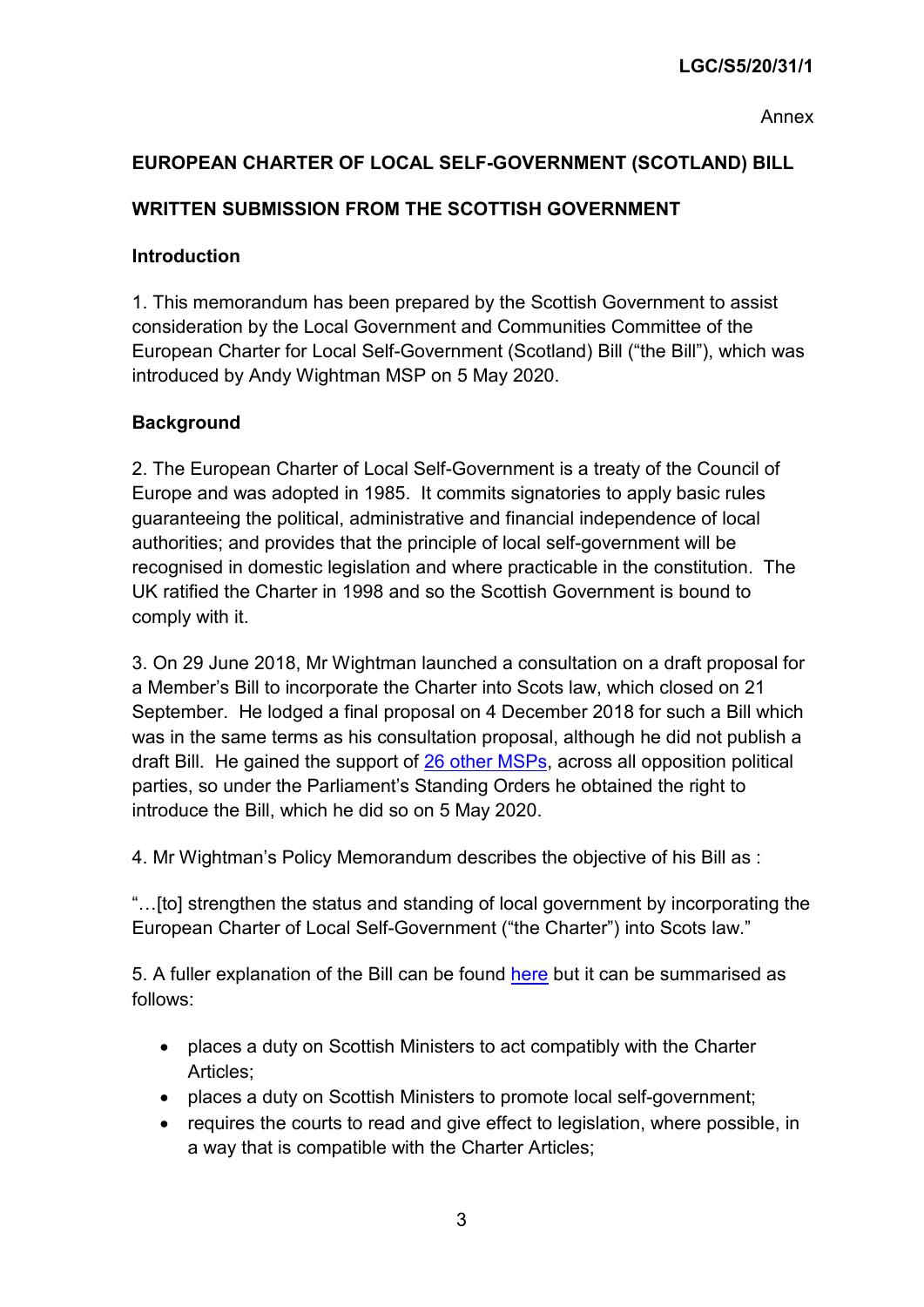Annex

# **EUROPEAN CHARTER OF LOCAL SELF-GOVERNMENT (SCOTLAND) BILL**

# **WRITTEN SUBMISSION FROM THE SCOTTISH GOVERNMENT**

### **Introduction**

1. This memorandum has been prepared by the Scottish Government to assist consideration by the Local Government and Communities Committee of the European Charter for Local Self-Government (Scotland) Bill ("the Bill"), which was introduced by Andy Wightman MSP on 5 May 2020.

# **Background**

2. The European Charter of Local Self-Government is a treaty of the Council of Europe and was adopted in 1985. It commits signatories to apply basic rules guaranteeing the political, administrative and financial independence of local authorities; and provides that the principle of local self-government will be recognised in domestic legislation and where practicable in the constitution. The UK ratified the Charter in 1998 and so the Scottish Government is bound to comply with it.

3. On 29 June 2018, Mr Wightman launched a consultation on a draft proposal for a Member's Bill to incorporate the Charter into Scots law, which closed on 21 September. He lodged a final proposal on 4 December 2018 for such a Bill which was in the same terms as his consultation proposal, although he did not publish a draft Bill. He gained the support of [26 other MSPs,](https://www.parliament.scot/S5MembersBills/AW_Final_Proposal_List_of_supporters(1).pdf) across all opposition political parties, so under the Parliament's Standing Orders he obtained the right to introduce the Bill, which he did so on 5 May 2020.

4. Mr Wightman's Policy Memorandum describes the objective of his Bill as :

"…[to] strengthen the status and standing of local government by incorporating the European Charter of Local Self-Government ("the Charter") into Scots law."

5. A fuller explanation of the Bill can be found [here](https://beta.parliament.scot/-/media/files/legislation/bills/current-bills/european-charter-of-local-self-government-incorporation-scotland-bill/introduced/explanatory-notes-european-charter-of-local-self-government-incorporation-scotland-bill.pdf) but it can be summarised as follows:

- places a duty on Scottish Ministers to act compatibly with the Charter Articles;
- places a duty on Scottish Ministers to promote local self-government;
- requires the courts to read and give effect to legislation, where possible, in a way that is compatible with the Charter Articles;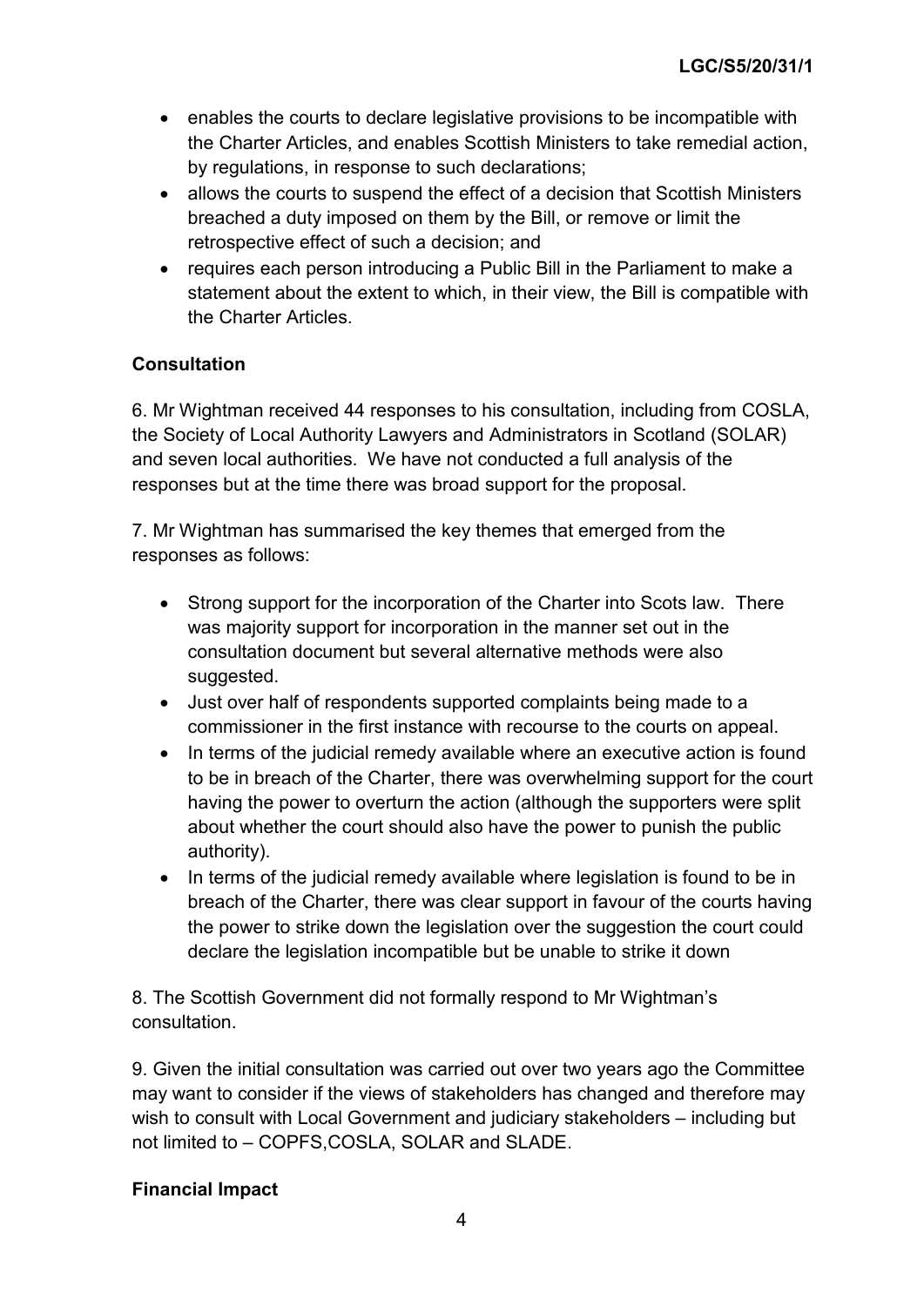- enables the courts to declare legislative provisions to be incompatible with the Charter Articles, and enables Scottish Ministers to take remedial action, by regulations, in response to such declarations;
- allows the courts to suspend the effect of a decision that Scottish Ministers breached a duty imposed on them by the Bill, or remove or limit the retrospective effect of such a decision; and
- requires each person introducing a Public Bill in the Parliament to make a statement about the extent to which, in their view, the Bill is compatible with the Charter Articles.

# **Consultation**

6. Mr Wightman received 44 responses to his consultation, including from COSLA, the Society of Local Authority Lawyers and Administrators in Scotland (SOLAR) and seven local authorities. We have not conducted a full analysis of the responses but at the time there was broad support for the proposal.

7. Mr Wightman has summarised the key themes that emerged from the responses as follows:

- Strong support for the incorporation of the Charter into Scots law. There was majority support for incorporation in the manner set out in the consultation document but several alternative methods were also suggested.
- Just over half of respondents supported complaints being made to a commissioner in the first instance with recourse to the courts on appeal.
- In terms of the judicial remedy available where an executive action is found to be in breach of the Charter, there was overwhelming support for the court having the power to overturn the action (although the supporters were split about whether the court should also have the power to punish the public authority).
- In terms of the judicial remedy available where legislation is found to be in breach of the Charter, there was clear support in favour of the courts having the power to strike down the legislation over the suggestion the court could declare the legislation incompatible but be unable to strike it down

8. The Scottish Government did not formally respond to Mr Wightman's consultation.

9. Given the initial consultation was carried out over two years ago the Committee may want to consider if the views of stakeholders has changed and therefore may wish to consult with Local Government and judiciary stakeholders – including but not limited to – COPFS,COSLA, SOLAR and SLADE.

# **Financial Impact**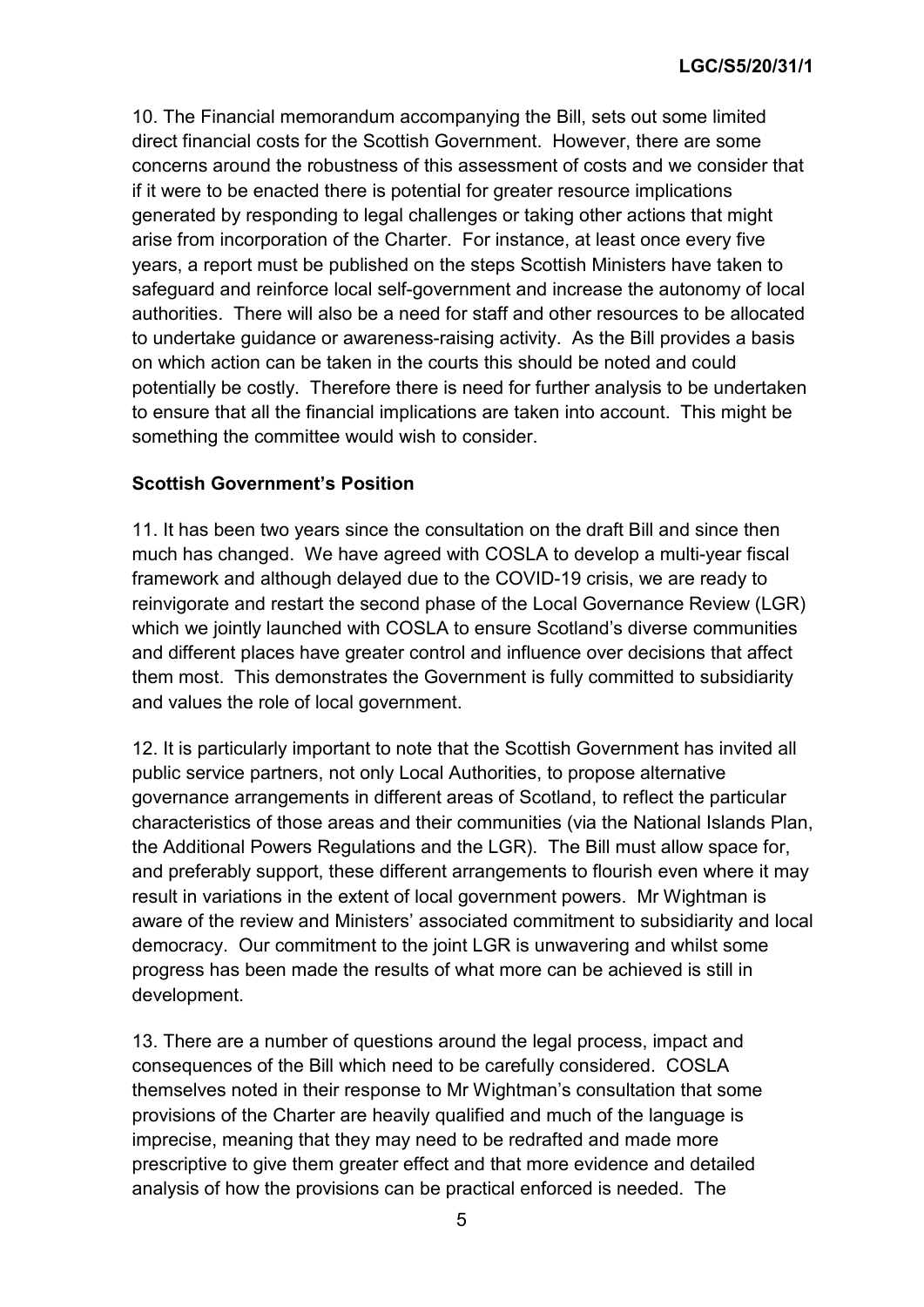10. The Financial memorandum accompanying the Bill, sets out some limited direct financial costs for the Scottish Government. However, there are some concerns around the robustness of this assessment of costs and we consider that if it were to be enacted there is potential for greater resource implications generated by responding to legal challenges or taking other actions that might arise from incorporation of the Charter. For instance, at least once every five years, a report must be published on the steps Scottish Ministers have taken to safeguard and reinforce local self-government and increase the autonomy of local authorities. There will also be a need for staff and other resources to be allocated to undertake guidance or awareness-raising activity. As the Bill provides a basis on which action can be taken in the courts this should be noted and could potentially be costly. Therefore there is need for further analysis to be undertaken to ensure that all the financial implications are taken into account. This might be something the committee would wish to consider.

#### **Scottish Government's Position**

11. It has been two years since the consultation on the draft Bill and since then much has changed. We have agreed with COSLA to develop a multi-year fiscal framework and although delayed due to the COVID-19 crisis, we are ready to reinvigorate and restart the second phase of the Local Governance Review (LGR) which we jointly launched with COSLA to ensure Scotland's diverse communities and different places have greater control and influence over decisions that affect them most. This demonstrates the Government is fully committed to subsidiarity and values the role of local government.

12. It is particularly important to note that the Scottish Government has invited all public service partners, not only Local Authorities, to propose alternative governance arrangements in different areas of Scotland, to reflect the particular characteristics of those areas and their communities (via the National Islands Plan, the Additional Powers Regulations and the LGR). The Bill must allow space for, and preferably support, these different arrangements to flourish even where it may result in variations in the extent of local government powers. Mr Wightman is aware of the review and Ministers' associated commitment to subsidiarity and local democracy. Our commitment to the joint LGR is unwavering and whilst some progress has been made the results of what more can be achieved is still in development.

13. There are a number of questions around the legal process, impact and consequences of the Bill which need to be carefully considered. COSLA themselves noted in their response to Mr Wightman's consultation that some provisions of the Charter are heavily qualified and much of the language is imprecise, meaning that they may need to be redrafted and made more prescriptive to give them greater effect and that more evidence and detailed analysis of how the provisions can be practical enforced is needed. The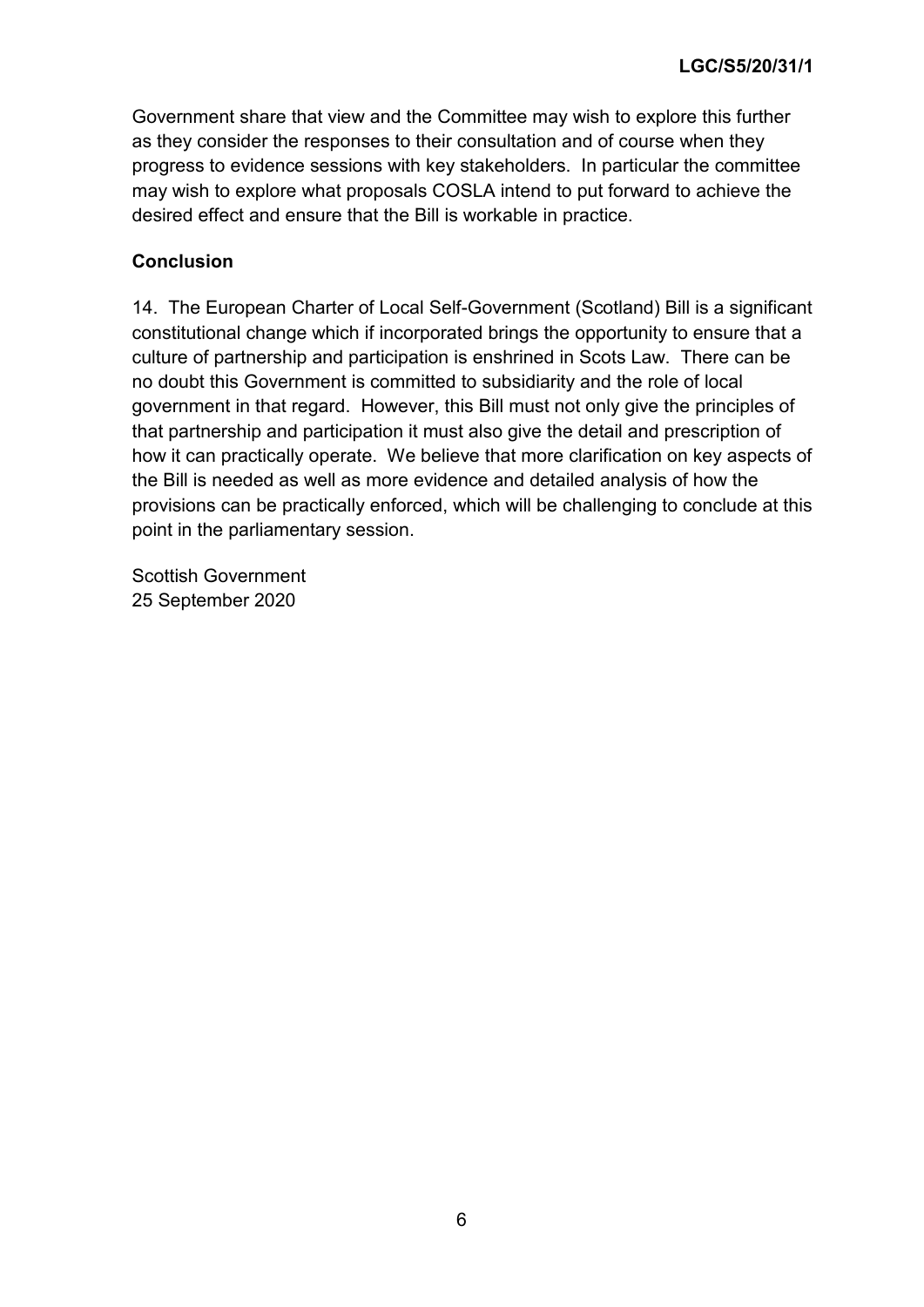Government share that view and the Committee may wish to explore this further as they consider the responses to their consultation and of course when they progress to evidence sessions with key stakeholders. In particular the committee may wish to explore what proposals COSLA intend to put forward to achieve the desired effect and ensure that the Bill is workable in practice.

### **Conclusion**

14. The European Charter of Local Self-Government (Scotland) Bill is a significant constitutional change which if incorporated brings the opportunity to ensure that a culture of partnership and participation is enshrined in Scots Law. There can be no doubt this Government is committed to subsidiarity and the role of local government in that regard. However, this Bill must not only give the principles of that partnership and participation it must also give the detail and prescription of how it can practically operate. We believe that more clarification on key aspects of the Bill is needed as well as more evidence and detailed analysis of how the provisions can be practically enforced, which will be challenging to conclude at this point in the parliamentary session.

Scottish Government 25 September 2020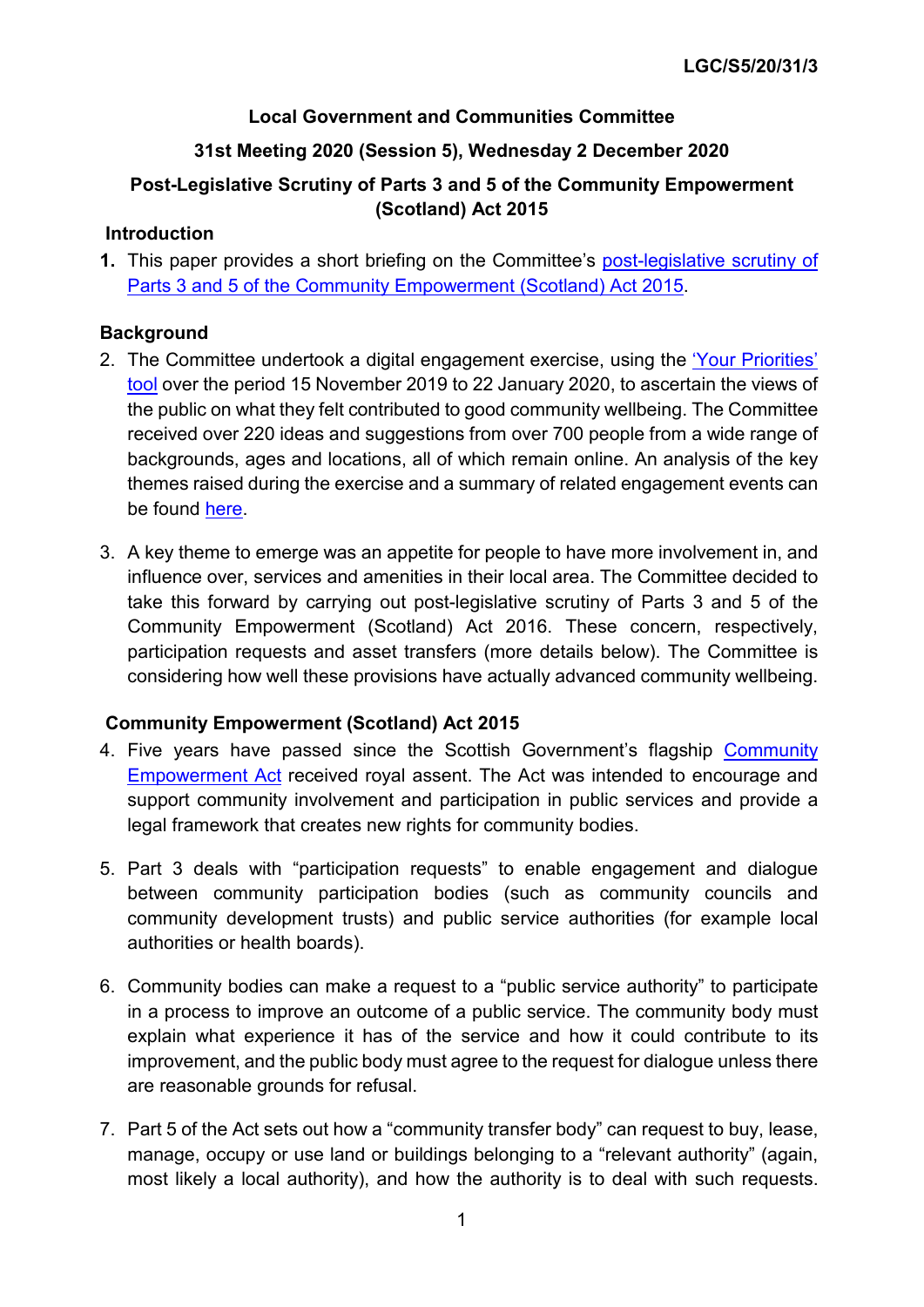### **Local Government and Communities Committee**

# **31st Meeting 2020 (Session 5), Wednesday 2 December 2020**

# **Post-Legislative Scrutiny of Parts 3 and 5 of the Community Empowerment (Scotland) Act 2015**

### **Introduction**

**1.** This paper provides a short briefing on the Committee's [post-legislative scrutiny](https://www.parliament.scot/parliamentarybusiness/CurrentCommittees/113602.aspx) of [Parts 3 and 5 of the Community Empowerment \(Scotland\) Act 2015.](https://www.parliament.scot/parliamentarybusiness/CurrentCommittees/113602.aspx)

### **Background**

- 2. The Committee undertook a digital engagement exercise, using the ['Your Priorities'](https://engage.parliament.scot/group/2216/open)  [tool](https://engage.parliament.scot/group/2216/open) over the period 15 November 2019 to 22 January 2020, to ascertain the views of the public on what they felt contributed to good community wellbeing. The Committee received over 220 ideas and suggestions from over 700 people from a wide range of backgrounds, ages and locations, all of which remain online. An analysis of the key themes raised during the exercise and a summary of related engagement events can be found [here.](https://www.parliament.scot/S5_Local_Gov/CWKey_themes_paper.pdf)
- 3. A key theme to emerge was an appetite for people to have more involvement in, and influence over, services and amenities in their local area. The Committee decided to take this forward by carrying out post-legislative scrutiny of Parts 3 and 5 of the Community Empowerment (Scotland) Act 2016. These concern, respectively, participation requests and asset transfers (more details below). The Committee is considering how well these provisions have actually advanced community wellbeing.

### **Community Empowerment (Scotland) Act 2015**

- 4. Five years have passed since the Scottish Government's flagship Community [Empowerment Act](https://www.legislation.gov.uk/asp/2015/6/contents/enacted) received royal assent. The Act was intended to encourage and support community involvement and participation in public services and provide a legal framework that creates new rights for community bodies.
- 5. Part 3 deals with "participation requests" to enable engagement and dialogue between community participation bodies (such as community councils and community development trusts) and public service authorities (for example local authorities or health boards).
- 6. Community bodies can make a request to a "public service authority" to participate in a process to improve an outcome of a public service. The community body must explain what experience it has of the service and how it could contribute to its improvement, and the public body must agree to the request for dialogue unless there are reasonable grounds for refusal.
- 7. Part 5 of the Act sets out how a "community transfer body" can request to buy, lease, manage, occupy or use land or buildings belonging to a "relevant authority" (again, most likely a local authority), and how the authority is to deal with such requests.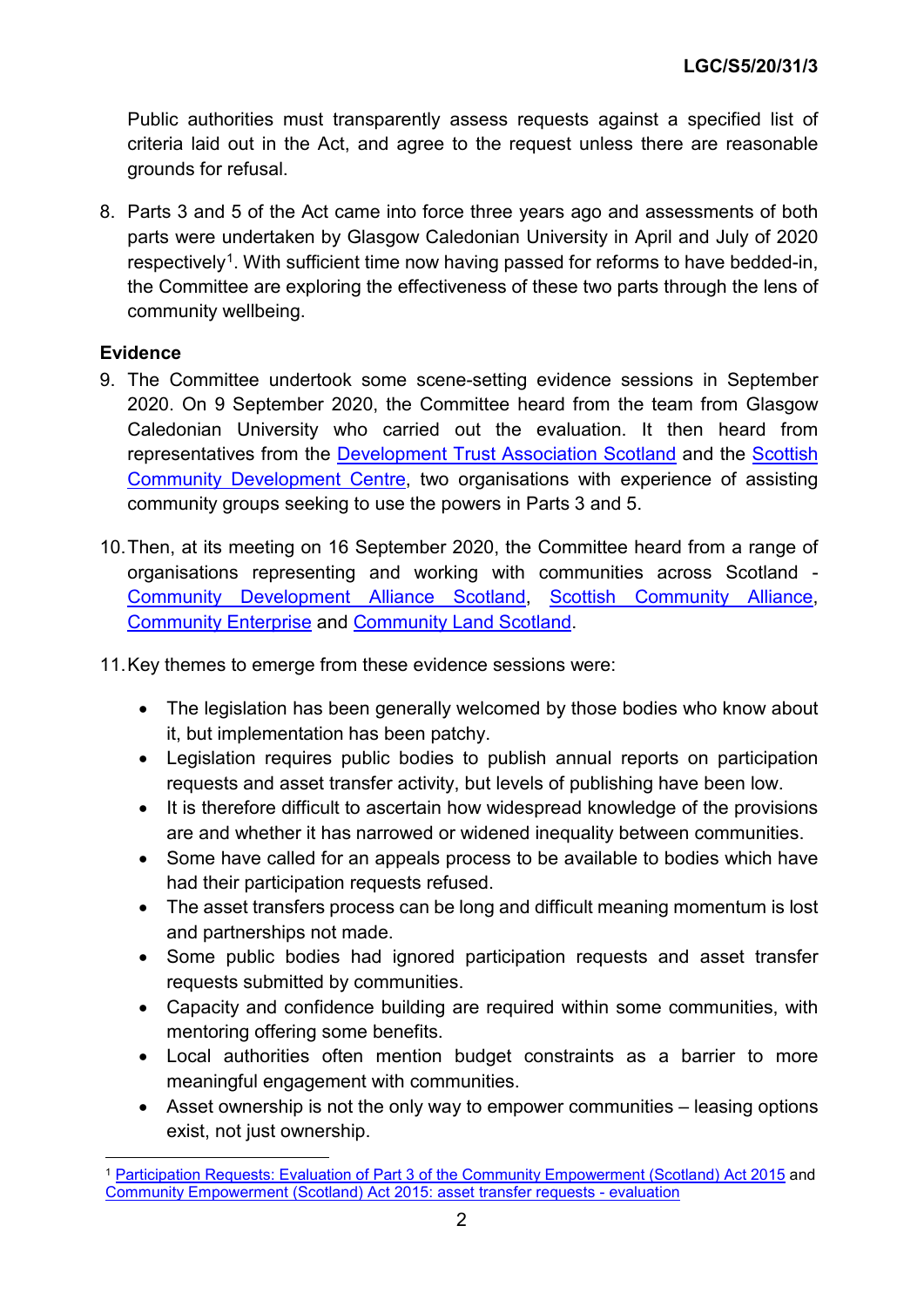Public authorities must transparently assess requests against a specified list of criteria laid out in the Act, and agree to the request unless there are reasonable grounds for refusal.

8. Parts 3 and 5 of the Act came into force three years ago and assessments of both parts were undertaken by Glasgow Caledonian University in April and July of 2020 respectively<sup>1</sup>. With sufficient time now having passed for reforms to have bedded-in, the Committee are exploring the effectiveness of these two parts through the lens of community wellbeing.

### **Evidence**

- 9. The Committee undertook some scene-setting evidence sessions in September 2020. On 9 September 2020, the Committee heard from the team from Glasgow Caledonian University who carried out the evaluation. It then heard from representatives from the [Development Trust Association Scotland](https://dtascot.org.uk/) and the [Scottish](https://www.scdc.org.uk/)  [Community Development Centre,](https://www.scdc.org.uk/) two organisations with experience of assisting community groups seeking to use the powers in Parts 3 and 5.
- 10.Then, at its meeting on 16 September 2020, the Committee heard from a range of organisations representing and working with communities across Scotland - [Community Development Alliance Scotland,](https://www.communitydevelopmentalliancescotland.org/) [Scottish Community Alliance,](https://scottishcommunityalliance.org.uk/) [Community Enterprise](https://communityenterprise.co.uk/) and [Community Land Scotland.](https://www.communitylandscotland.org.uk/)
- 11.Key themes to emerge from these evidence sessions were:
	- The legislation has been generally welcomed by those bodies who know about it, but implementation has been patchy.
	- Legislation requires public bodies to publish annual reports on participation requests and asset transfer activity, but levels of publishing have been low.
	- It is therefore difficult to ascertain how widespread knowledge of the provisions are and whether it has narrowed or widened inequality between communities.
	- Some have called for an appeals process to be available to bodies which have had their participation requests refused.
	- The asset transfers process can be long and difficult meaning momentum is lost and partnerships not made.
	- Some public bodies had ignored participation requests and asset transfer requests submitted by communities.
	- Capacity and confidence building are required within some communities, with mentoring offering some benefits.
	- Local authorities often mention budget constraints as a barrier to more meaningful engagement with communities.
	- Asset ownership is not the only way to empower communities leasing options exist, not just ownership.

<span id="page-10-0"></span> <sup>1</sup> [Participation Requests: Evaluation of Part 3 of the Community Empowerment \(Scotland\) Act 2015](https://www.gov.scot/binaries/content/documents/govscot/publications/research-and-analysis/2020/04/participation-requests-evaluation-part-3-community-empowerment-scotland-act-2015/documents/people-communities-places-participation-requests-evaluation-part-3-community-empowerment-scotland-act-2015/people-communities-places-participation-requests-evaluation-part-3-community-empowerment-scotland-act-2015/govscot%3Adocument/people-communities-places-participation-requests-evaluation-part-3-community-empowerment-scotland-act-2015.pdf) and [Community Empowerment \(Scotland\) Act 2015: asset transfer requests -](https://www.gov.scot/publications/asset-transfer-requests-evaluation-part-5-community-empowerment-scotland-act-2015/) evaluation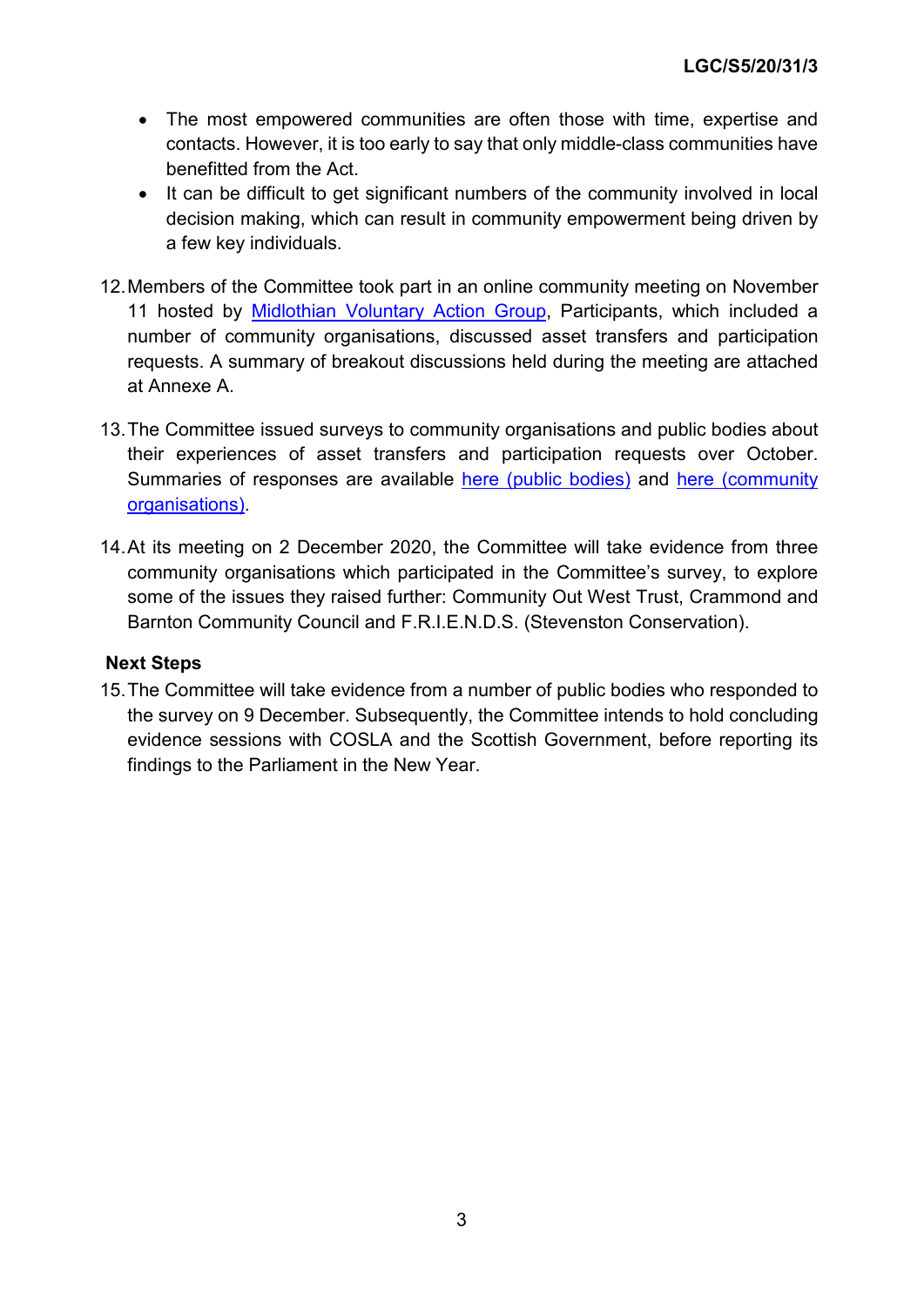- The most empowered communities are often those with time, expertise and contacts. However, it is too early to say that only middle-class communities have benefitted from the Act.
- It can be difficult to get significant numbers of the community involved in local decision making, which can result in community empowerment being driven by a few key individuals.
- 12.Members of the Committee took part in an online community meeting on November 11 hosted by [Midlothian Voluntary Action Group,](http://www.mvacvs.org/) Participants, which included a number of community organisations, discussed asset transfers and participation requests. A summary of breakout discussions held during the meeting are attached at Annexe A.
- 13.The Committee issued surveys to community organisations and public bodies about their experiences of asset transfers and participation requests over October. Summaries of responses are available [here \(public bodies\)](https://www.parliament.scot/S5_Local_Gov/Summary_of_questionnaire_responses_public_bodies.pdf) and [here \(community](https://www.parliament.scot/S5_Local_Gov/Summary_of_questionnaire_responses_community_orgs.pdf)  [organisations\).](https://www.parliament.scot/S5_Local_Gov/Summary_of_questionnaire_responses_community_orgs.pdf)
- 14.At its meeting on 2 December 2020, the Committee will take evidence from three community organisations which participated in the Committee's survey, to explore some of the issues they raised further: Community Out West Trust, Crammond and Barnton Community Council and F.R.I.E.N.D.S. (Stevenston Conservation).

### **Next Steps**

15.The Committee will take evidence from a number of public bodies who responded to the survey on 9 December. Subsequently, the Committee intends to hold concluding evidence sessions with COSLA and the Scottish Government, before reporting its findings to the Parliament in the New Year.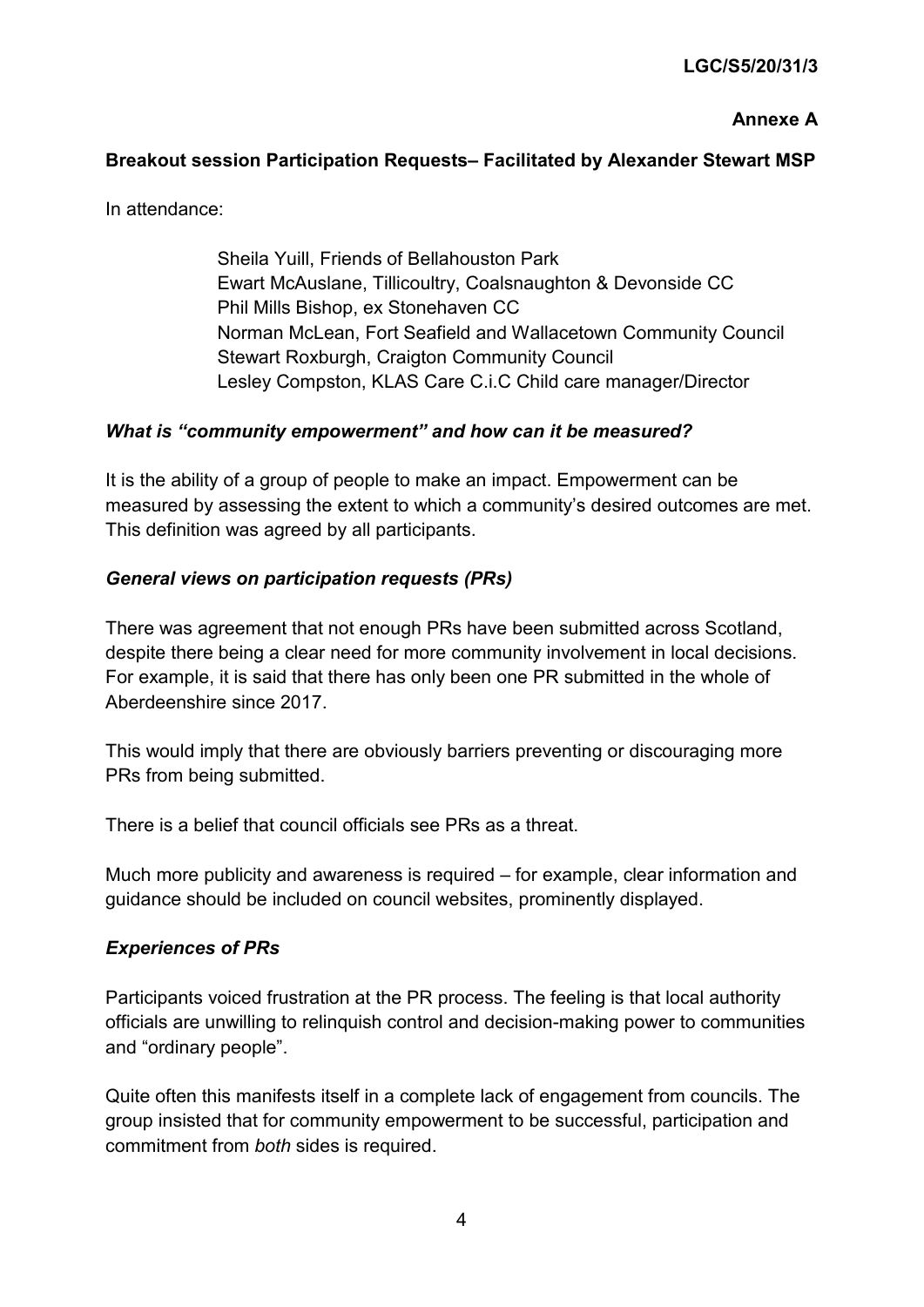### **Annexe A**

### **Breakout session Participation Requests– Facilitated by Alexander Stewart MSP**

In attendance:

Sheila Yuill, Friends of Bellahouston Park Ewart McAuslane, Tillicoultry, Coalsnaughton & Devonside CC Phil Mills Bishop, ex Stonehaven CC Norman McLean, Fort Seafield and Wallacetown Community Council Stewart Roxburgh, Craigton Community Council Lesley Compston, KLAS Care C.i.C Child care manager/Director

#### *What is "community empowerment" and how can it be measured?*

It is the ability of a group of people to make an impact. Empowerment can be measured by assessing the extent to which a community's desired outcomes are met. This definition was agreed by all participants.

#### *General views on participation requests (PRs)*

There was agreement that not enough PRs have been submitted across Scotland, despite there being a clear need for more community involvement in local decisions. For example, it is said that there has only been one PR submitted in the whole of Aberdeenshire since 2017.

This would imply that there are obviously barriers preventing or discouraging more PRs from being submitted.

There is a belief that council officials see PRs as a threat.

Much more publicity and awareness is required – for example, clear information and guidance should be included on council websites, prominently displayed.

#### *Experiences of PRs*

Participants voiced frustration at the PR process. The feeling is that local authority officials are unwilling to relinquish control and decision-making power to communities and "ordinary people".

Quite often this manifests itself in a complete lack of engagement from councils. The group insisted that for community empowerment to be successful, participation and commitment from *both* sides is required.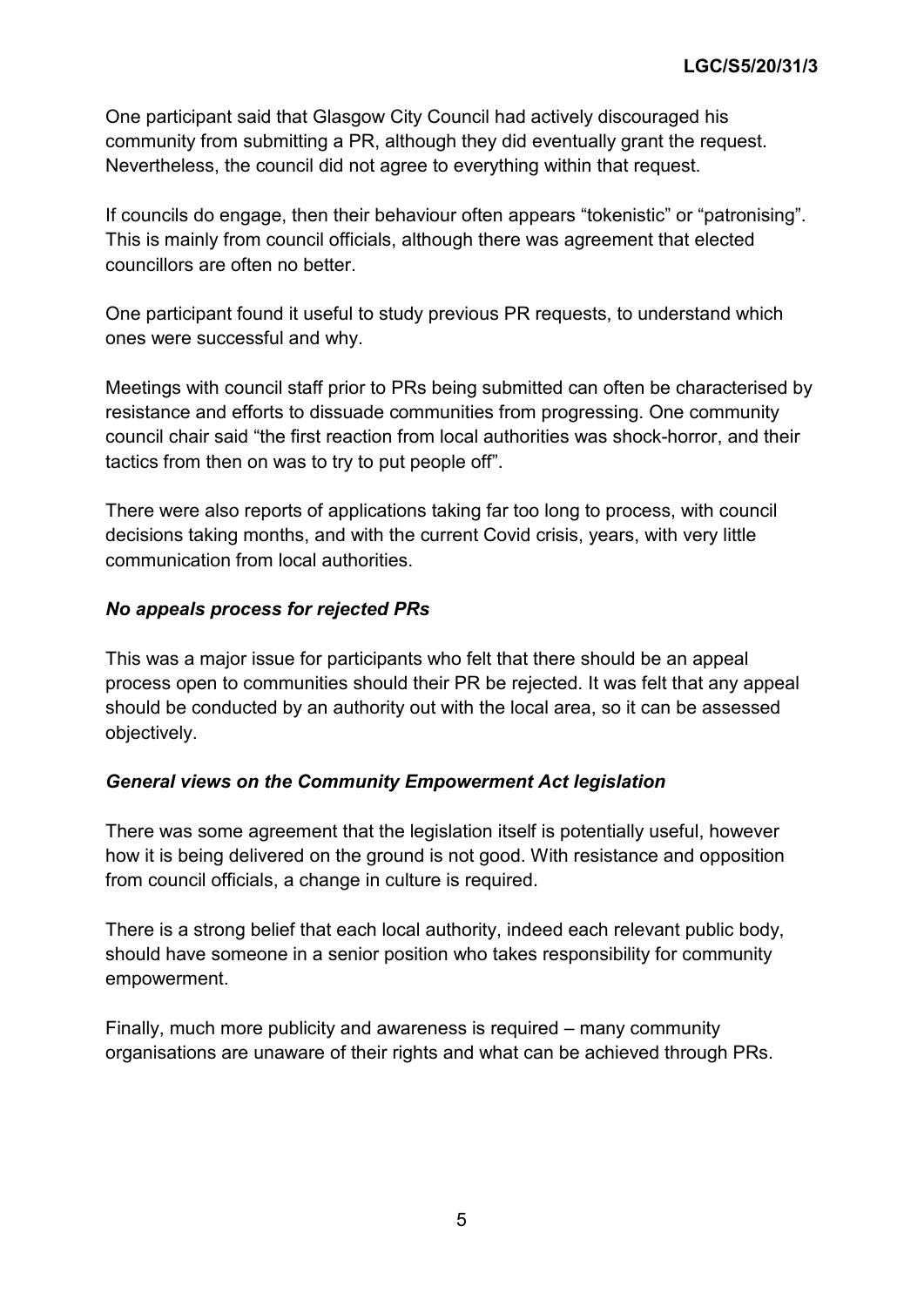One participant said that Glasgow City Council had actively discouraged his community from submitting a PR, although they did eventually grant the request. Nevertheless, the council did not agree to everything within that request.

If councils do engage, then their behaviour often appears "tokenistic" or "patronising". This is mainly from council officials, although there was agreement that elected councillors are often no better.

One participant found it useful to study previous PR requests, to understand which ones were successful and why.

Meetings with council staff prior to PRs being submitted can often be characterised by resistance and efforts to dissuade communities from progressing. One community council chair said "the first reaction from local authorities was shock-horror, and their tactics from then on was to try to put people off".

There were also reports of applications taking far too long to process, with council decisions taking months, and with the current Covid crisis, years, with very little communication from local authorities.

### *No appeals process for rejected PRs*

This was a major issue for participants who felt that there should be an appeal process open to communities should their PR be rejected. It was felt that any appeal should be conducted by an authority out with the local area, so it can be assessed objectively.

### *General views on the Community Empowerment Act legislation*

There was some agreement that the legislation itself is potentially useful, however how it is being delivered on the ground is not good. With resistance and opposition from council officials, a change in culture is required.

There is a strong belief that each local authority, indeed each relevant public body, should have someone in a senior position who takes responsibility for community empowerment.

Finally, much more publicity and awareness is required – many community organisations are unaware of their rights and what can be achieved through PRs.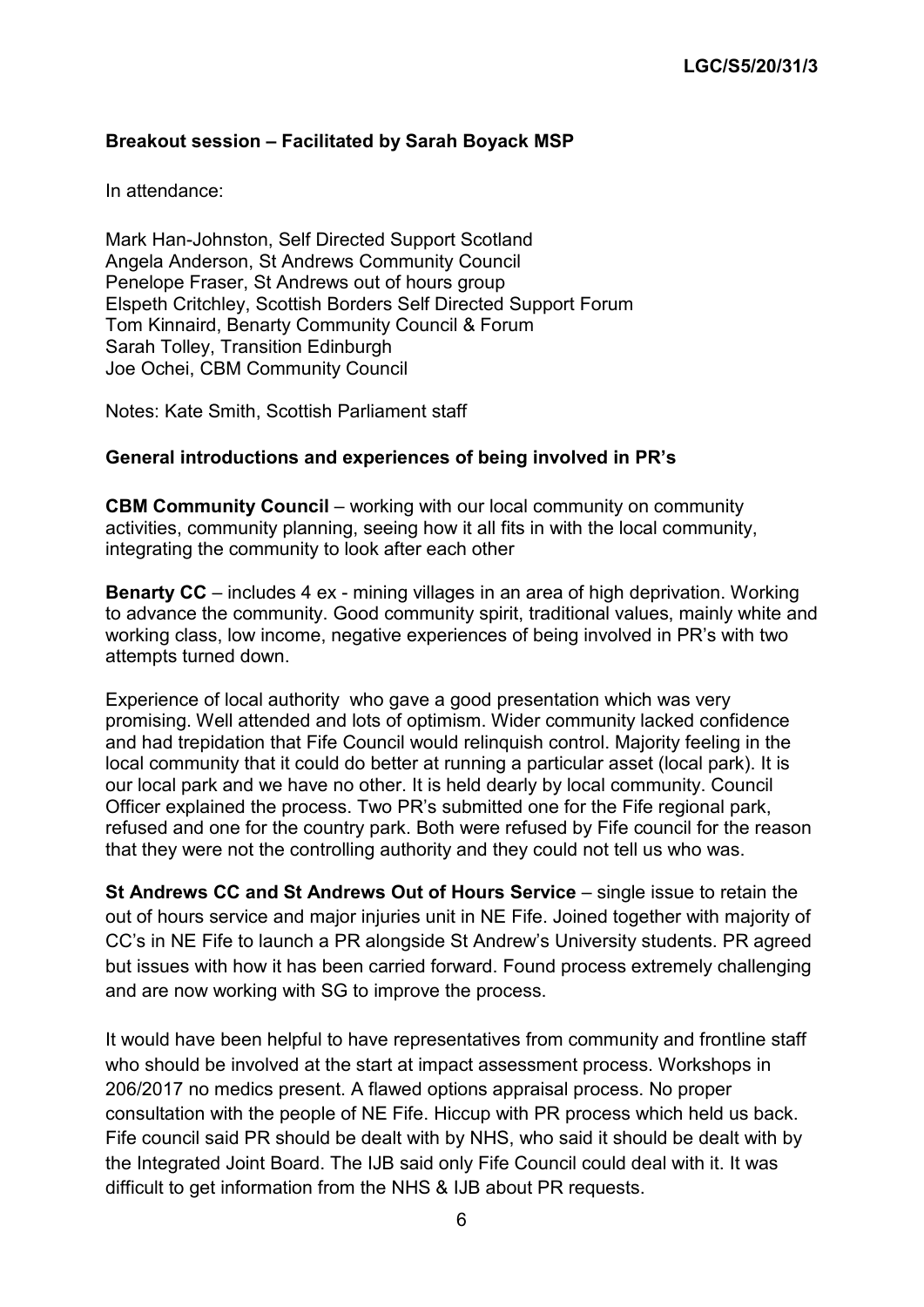### **Breakout session – Facilitated by Sarah Boyack MSP**

In attendance:

Mark Han-Johnston, Self Directed Support Scotland Angela Anderson, St Andrews Community Council Penelope Fraser, St Andrews out of hours group Elspeth Critchley, Scottish Borders Self Directed Support Forum Tom Kinnaird, Benarty Community Council & Forum Sarah Tolley, Transition Edinburgh Joe Ochei, CBM Community Council

Notes: Kate Smith, Scottish Parliament staff

#### **General introductions and experiences of being involved in PR's**

**CBM Community Council** – working with our local community on community activities, community planning, seeing how it all fits in with the local community, integrating the community to look after each other

**Benarty CC** – includes 4 ex - mining villages in an area of high deprivation. Working to advance the community. Good community spirit, traditional values, mainly white and working class, low income, negative experiences of being involved in PR's with two attempts turned down.

Experience of local authority who gave a good presentation which was very promising. Well attended and lots of optimism. Wider community lacked confidence and had trepidation that Fife Council would relinquish control. Majority feeling in the local community that it could do better at running a particular asset (local park). It is our local park and we have no other. It is held dearly by local community. Council Officer explained the process. Two PR's submitted one for the Fife regional park, refused and one for the country park. Both were refused by Fife council for the reason that they were not the controlling authority and they could not tell us who was.

**St Andrews CC and St Andrews Out of Hours Service** – single issue to retain the out of hours service and major injuries unit in NE Fife. Joined together with majority of CC's in NE Fife to launch a PR alongside St Andrew's University students. PR agreed but issues with how it has been carried forward. Found process extremely challenging and are now working with SG to improve the process.

It would have been helpful to have representatives from community and frontline staff who should be involved at the start at impact assessment process. Workshops in 206/2017 no medics present. A flawed options appraisal process. No proper consultation with the people of NE Fife. Hiccup with PR process which held us back. Fife council said PR should be dealt with by NHS, who said it should be dealt with by the Integrated Joint Board. The IJB said only Fife Council could deal with it. It was difficult to get information from the NHS & IJB about PR requests.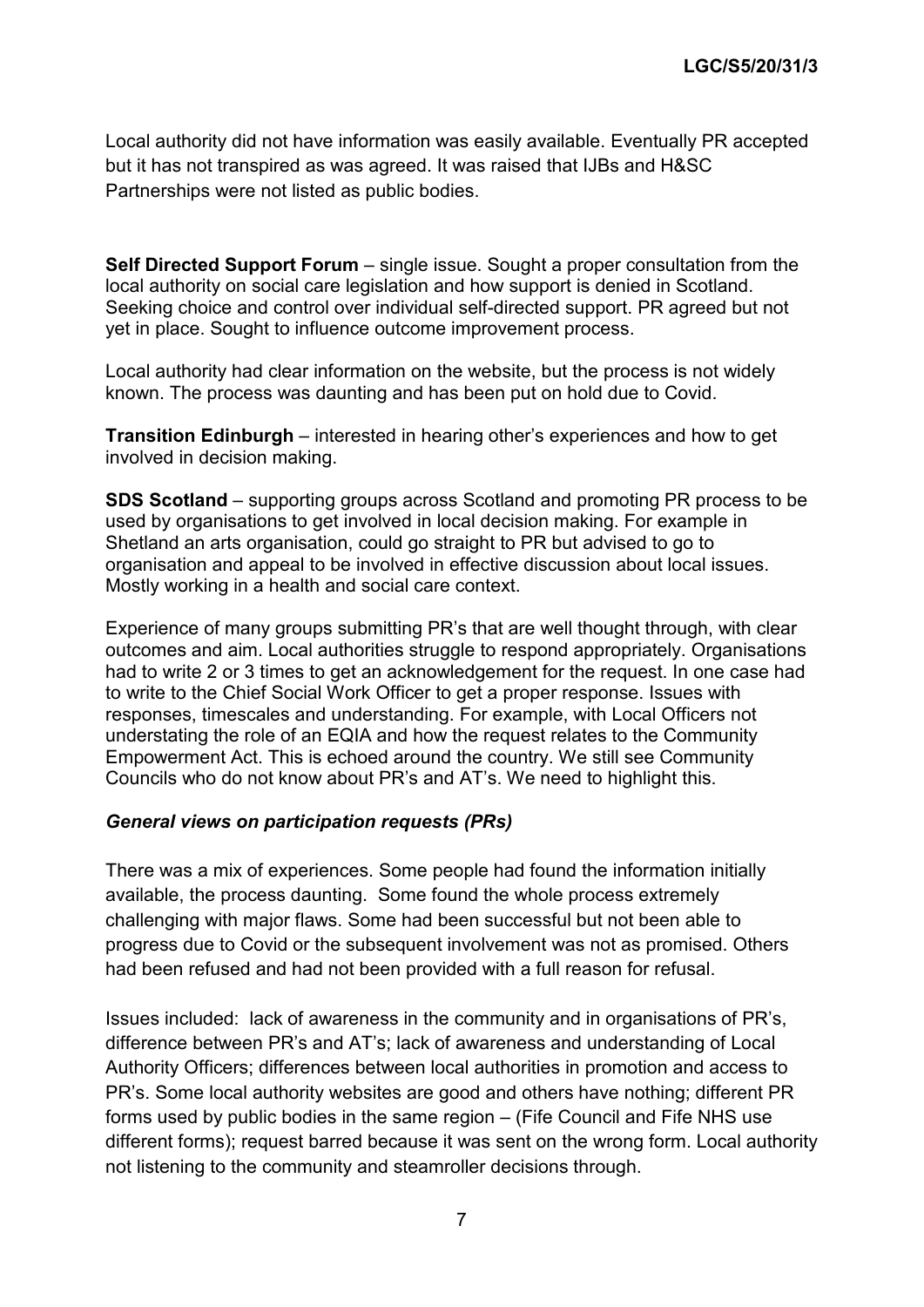Local authority did not have information was easily available. Eventually PR accepted but it has not transpired as was agreed. It was raised that IJBs and H&SC Partnerships were not listed as public bodies.

**Self Directed Support Forum** – single issue. Sought a proper consultation from the local authority on social care legislation and how support is denied in Scotland. Seeking choice and control over individual self-directed support. PR agreed but not yet in place. Sought to influence outcome improvement process.

Local authority had clear information on the website, but the process is not widely known. The process was daunting and has been put on hold due to Covid.

**Transition Edinburgh** – interested in hearing other's experiences and how to get involved in decision making.

**SDS Scotland** – supporting groups across Scotland and promoting PR process to be used by organisations to get involved in local decision making. For example in Shetland an arts organisation, could go straight to PR but advised to go to organisation and appeal to be involved in effective discussion about local issues. Mostly working in a health and social care context.

Experience of many groups submitting PR's that are well thought through, with clear outcomes and aim. Local authorities struggle to respond appropriately. Organisations had to write 2 or 3 times to get an acknowledgement for the request. In one case had to write to the Chief Social Work Officer to get a proper response. Issues with responses, timescales and understanding. For example, with Local Officers not understating the role of an EQIA and how the request relates to the Community Empowerment Act. This is echoed around the country. We still see Community Councils who do not know about PR's and AT's. We need to highlight this.

#### *General views on participation requests (PRs)*

There was a mix of experiences. Some people had found the information initially available, the process daunting. Some found the whole process extremely challenging with major flaws. Some had been successful but not been able to progress due to Covid or the subsequent involvement was not as promised. Others had been refused and had not been provided with a full reason for refusal.

Issues included: lack of awareness in the community and in organisations of PR's, difference between PR's and AT's; lack of awareness and understanding of Local Authority Officers; differences between local authorities in promotion and access to PR's. Some local authority websites are good and others have nothing; different PR forms used by public bodies in the same region – (Fife Council and Fife NHS use different forms); request barred because it was sent on the wrong form. Local authority not listening to the community and steamroller decisions through.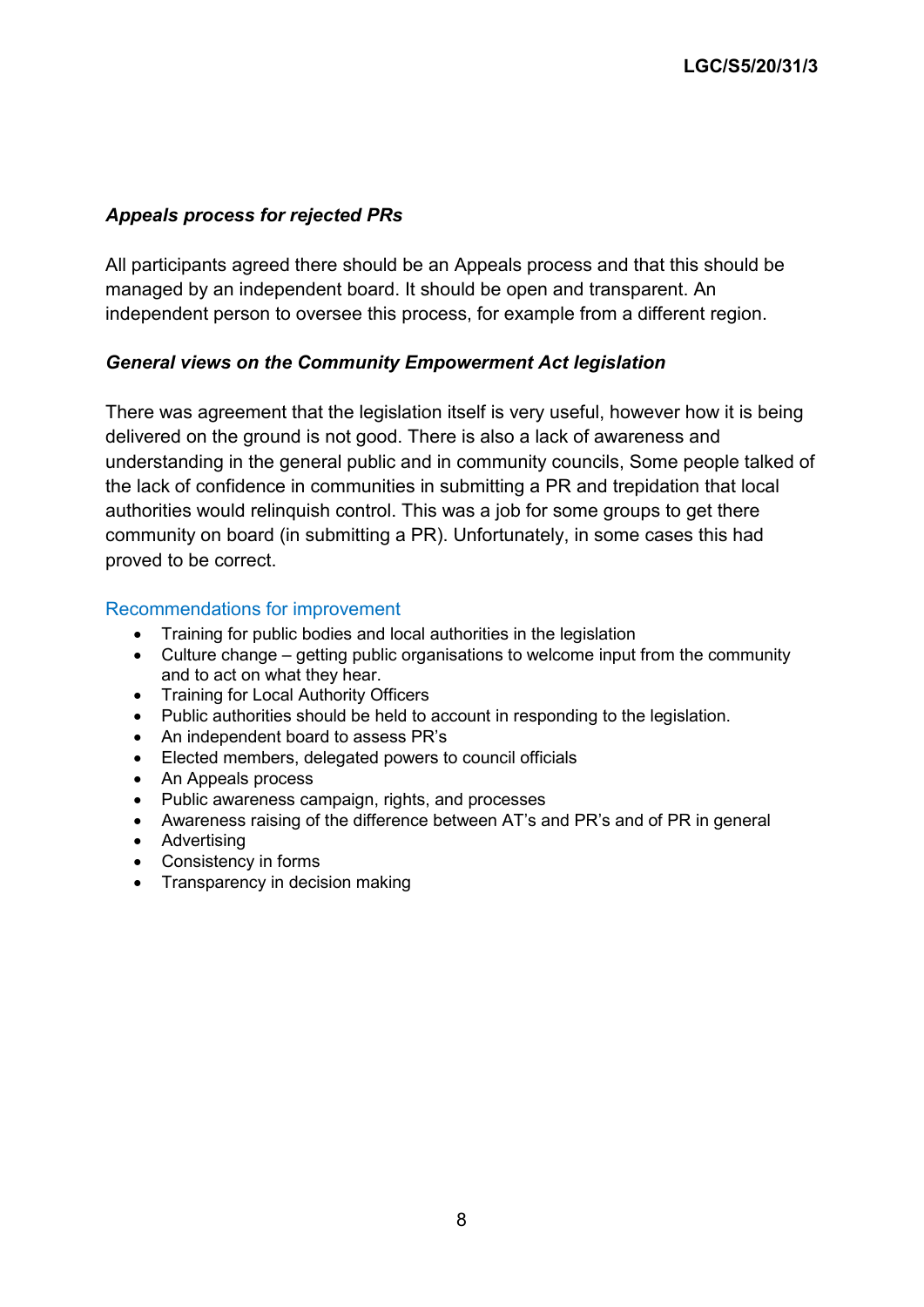### *Appeals process for rejected PRs*

All participants agreed there should be an Appeals process and that this should be managed by an independent board. It should be open and transparent. An independent person to oversee this process, for example from a different region.

#### *General views on the Community Empowerment Act legislation*

There was agreement that the legislation itself is very useful, however how it is being delivered on the ground is not good. There is also a lack of awareness and understanding in the general public and in community councils, Some people talked of the lack of confidence in communities in submitting a PR and trepidation that local authorities would relinquish control. This was a job for some groups to get there community on board (in submitting a PR). Unfortunately, in some cases this had proved to be correct.

#### Recommendations for improvement

- Training for public bodies and local authorities in the legislation
- Culture change getting public organisations to welcome input from the community and to act on what they hear.
- Training for Local Authority Officers
- Public authorities should be held to account in responding to the legislation.
- An independent board to assess PR's
- Elected members, delegated powers to council officials
- An Appeals process
- Public awareness campaign, rights, and processes
- Awareness raising of the difference between AT's and PR's and of PR in general
- Advertising
- Consistency in forms
- Transparency in decision making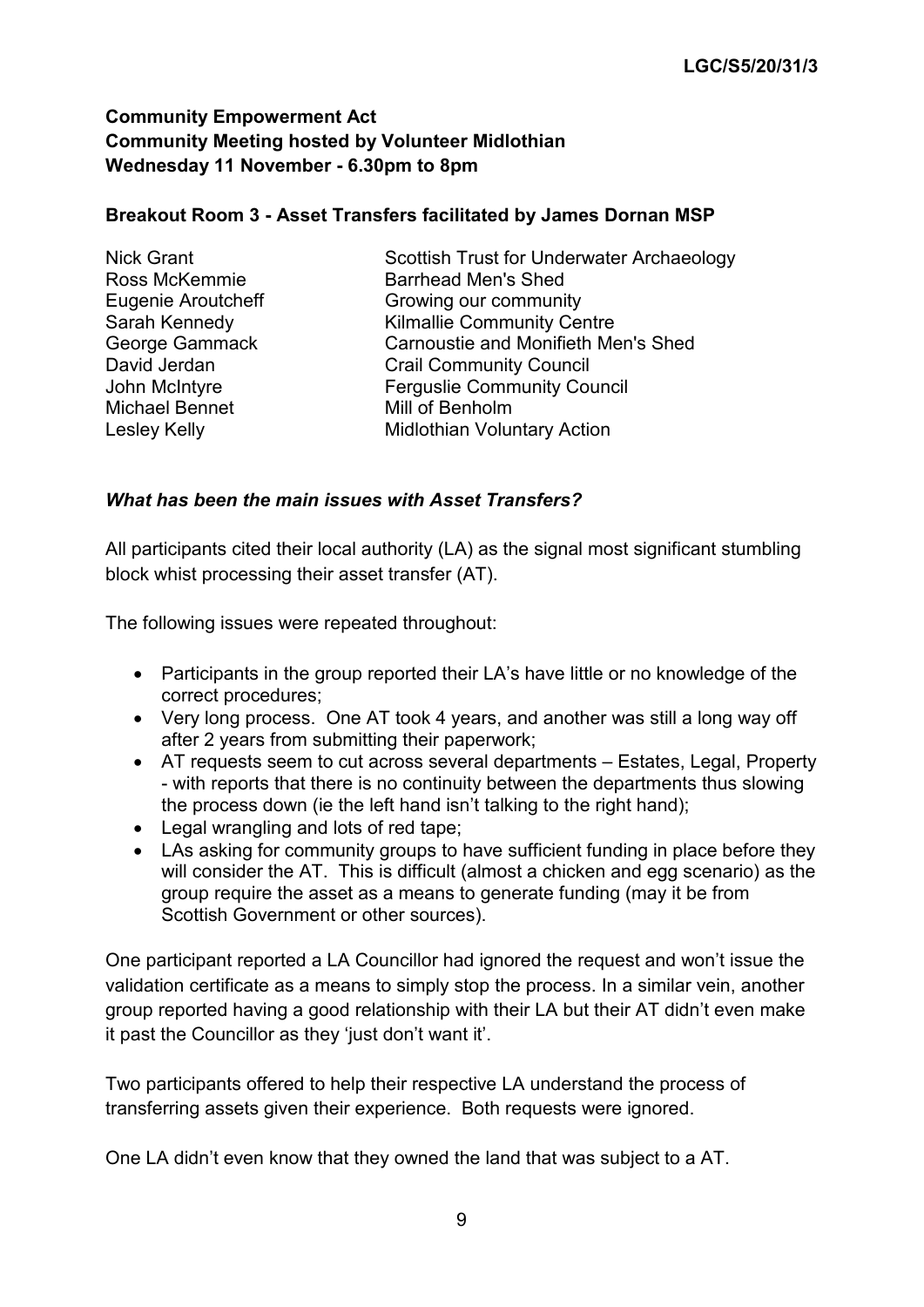### **Community Empowerment Act Community Meeting hosted by Volunteer Midlothian Wednesday 11 November - 6.30pm to 8pm**

### **Breakout Room 3 - Asset Transfers facilitated by James Dornan MSP**

| <b>Nick Grant</b>     | Scottish Trust for Underwater Archaeology  |
|-----------------------|--------------------------------------------|
| Ross McKemmie         | <b>Barrhead Men's Shed</b>                 |
| Eugenie Aroutcheff    | Growing our community                      |
| Sarah Kennedy         | <b>Kilmallie Community Centre</b>          |
| George Gammack        | <b>Carnoustie and Monifieth Men's Shed</b> |
| David Jerdan          | <b>Crail Community Council</b>             |
| John McIntyre         | <b>Ferguslie Community Council</b>         |
| <b>Michael Bennet</b> | Mill of Benholm                            |
| Lesley Kelly          | <b>Midlothian Voluntary Action</b>         |

#### *What has been the main issues with Asset Transfers?*

All participants cited their local authority (LA) as the signal most significant stumbling block whist processing their asset transfer (AT).

The following issues were repeated throughout:

- Participants in the group reported their LA's have little or no knowledge of the correct procedures;
- Very long process. One AT took 4 years, and another was still a long way off after 2 years from submitting their paperwork;
- AT requests seem to cut across several departments Estates, Legal, Property - with reports that there is no continuity between the departments thus slowing the process down (ie the left hand isn't talking to the right hand);
- Legal wrangling and lots of red tape;
- LAs asking for community groups to have sufficient funding in place before they will consider the AT. This is difficult (almost a chicken and egg scenario) as the group require the asset as a means to generate funding (may it be from Scottish Government or other sources).

One participant reported a LA Councillor had ignored the request and won't issue the validation certificate as a means to simply stop the process. In a similar vein, another group reported having a good relationship with their LA but their AT didn't even make it past the Councillor as they 'just don't want it'.

Two participants offered to help their respective LA understand the process of transferring assets given their experience. Both requests were ignored.

One LA didn't even know that they owned the land that was subject to a AT.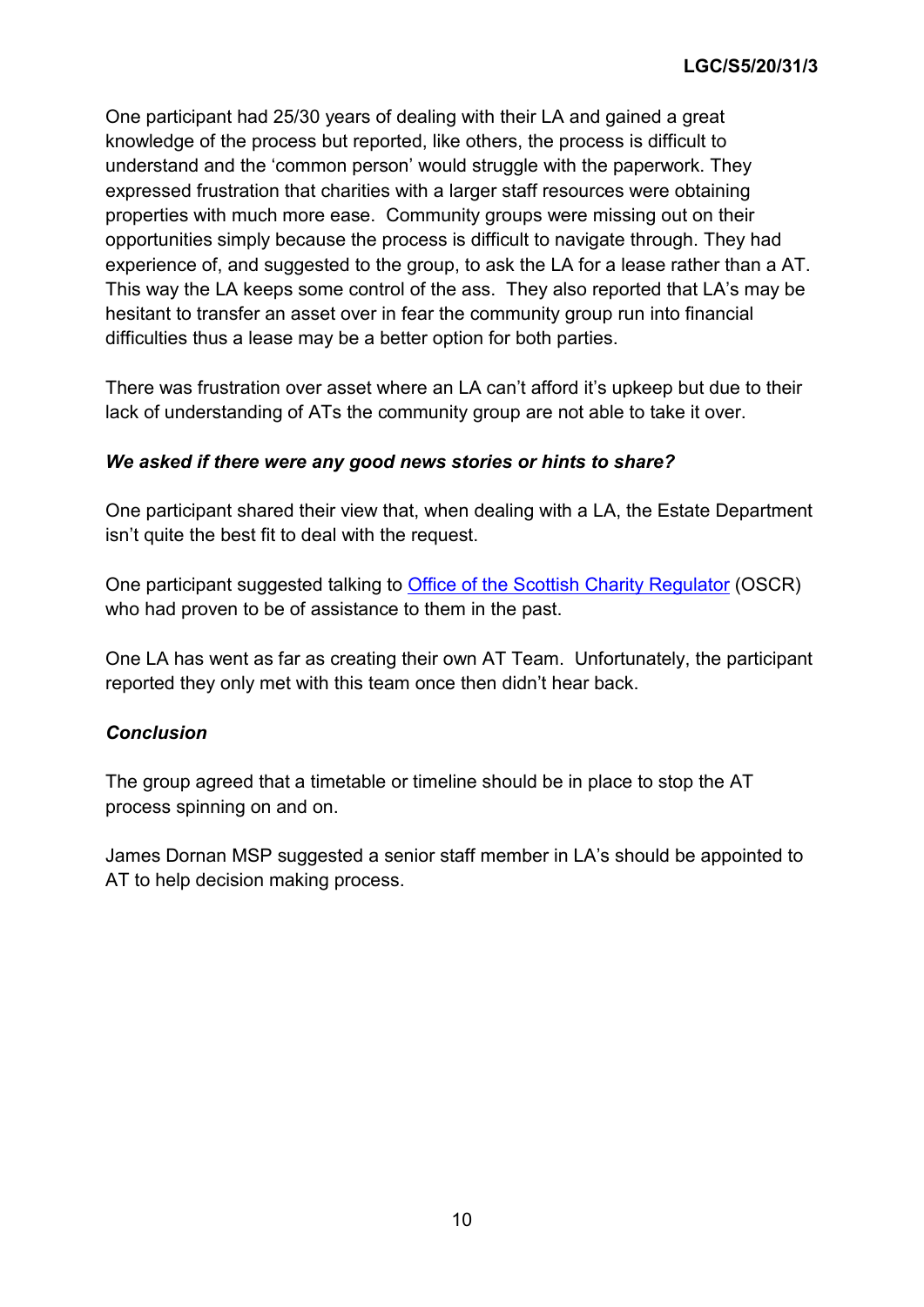One participant had 25/30 years of dealing with their LA and gained a great knowledge of the process but reported, like others, the process is difficult to understand and the 'common person' would struggle with the paperwork. They expressed frustration that charities with a larger staff resources were obtaining properties with much more ease. Community groups were missing out on their opportunities simply because the process is difficult to navigate through. They had experience of, and suggested to the group, to ask the LA for a lease rather than a AT. This way the LA keeps some control of the ass. They also reported that LA's may be hesitant to transfer an asset over in fear the community group run into financial difficulties thus a lease may be a better option for both parties.

There was frustration over asset where an LA can't afford it's upkeep but due to their lack of understanding of ATs the community group are not able to take it over.

### *We asked if there were any good news stories or hints to share?*

One participant shared their view that, when dealing with a LA, the Estate Department isn't quite the best fit to deal with the request.

One participant suggested talking to [Office of the Scottish Charity Regulator](https://www.oscr.org.uk/) (OSCR) who had proven to be of assistance to them in the past.

One LA has went as far as creating their own AT Team. Unfortunately, the participant reported they only met with this team once then didn't hear back.

#### *Conclusion*

The group agreed that a timetable or timeline should be in place to stop the AT process spinning on and on.

James Dornan MSP suggested a senior staff member in LA's should be appointed to AT to help decision making process.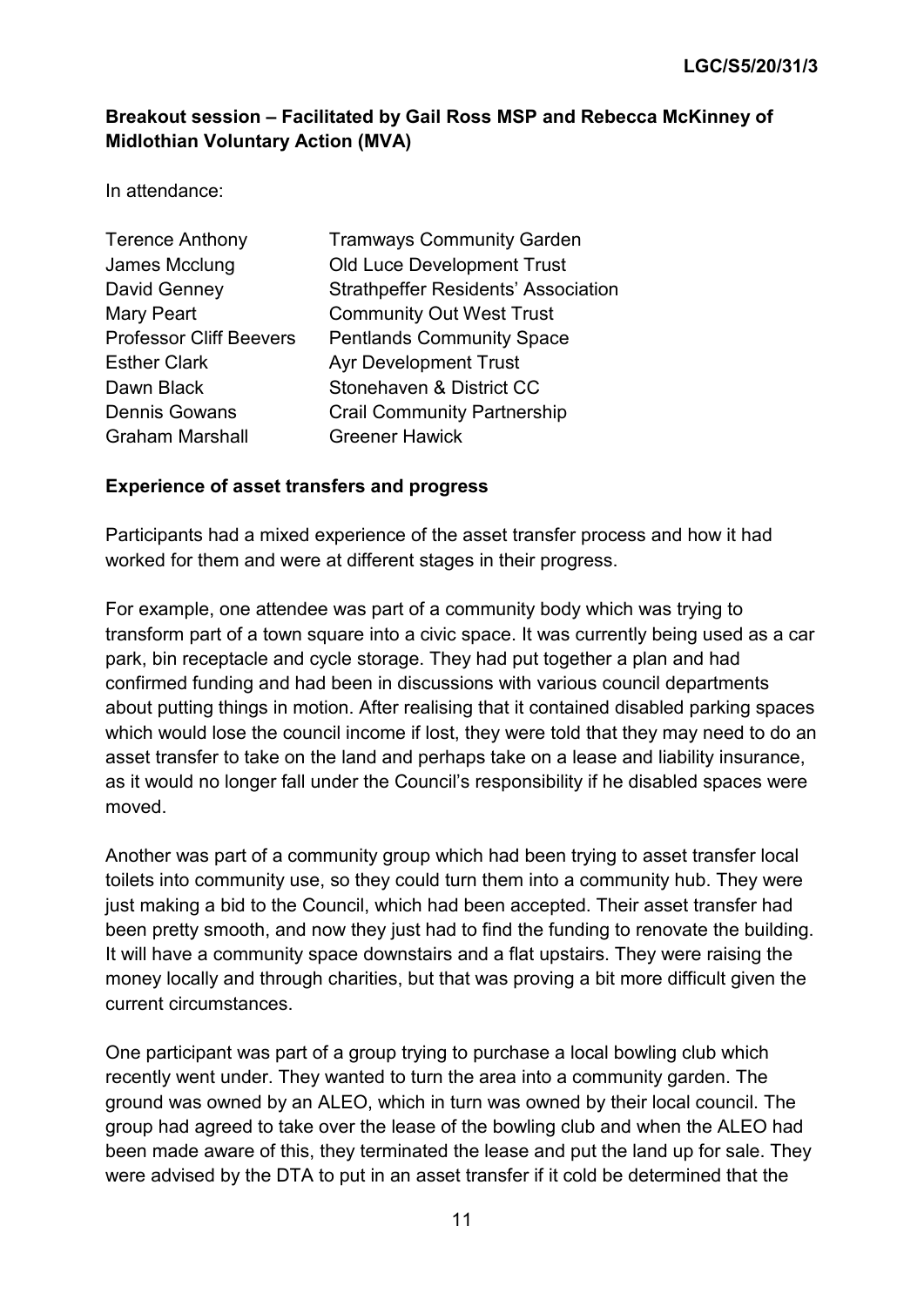# **Breakout session – Facilitated by Gail Ross MSP and Rebecca McKinney of Midlothian Voluntary Action (MVA)**

In attendance:

| <b>Terence Anthony</b>         | <b>Tramways Community Garden</b>           |
|--------------------------------|--------------------------------------------|
| James Mcclung                  | <b>Old Luce Development Trust</b>          |
| David Genney                   | <b>Strathpeffer Residents' Association</b> |
| <b>Mary Peart</b>              | <b>Community Out West Trust</b>            |
| <b>Professor Cliff Beevers</b> | <b>Pentlands Community Space</b>           |
| <b>Esther Clark</b>            | <b>Ayr Development Trust</b>               |
| Dawn Black                     | Stonehaven & District CC                   |
| <b>Dennis Gowans</b>           | <b>Crail Community Partnership</b>         |
| <b>Graham Marshall</b>         | <b>Greener Hawick</b>                      |

#### **Experience of asset transfers and progress**

Participants had a mixed experience of the asset transfer process and how it had worked for them and were at different stages in their progress.

For example, one attendee was part of a community body which was trying to transform part of a town square into a civic space. It was currently being used as a car park, bin receptacle and cycle storage. They had put together a plan and had confirmed funding and had been in discussions with various council departments about putting things in motion. After realising that it contained disabled parking spaces which would lose the council income if lost, they were told that they may need to do an asset transfer to take on the land and perhaps take on a lease and liability insurance, as it would no longer fall under the Council's responsibility if he disabled spaces were moved.

Another was part of a community group which had been trying to asset transfer local toilets into community use, so they could turn them into a community hub. They were just making a bid to the Council, which had been accepted. Their asset transfer had been pretty smooth, and now they just had to find the funding to renovate the building. It will have a community space downstairs and a flat upstairs. They were raising the money locally and through charities, but that was proving a bit more difficult given the current circumstances.

One participant was part of a group trying to purchase a local bowling club which recently went under. They wanted to turn the area into a community garden. The ground was owned by an ALEO, which in turn was owned by their local council. The group had agreed to take over the lease of the bowling club and when the ALEO had been made aware of this, they terminated the lease and put the land up for sale. They were advised by the DTA to put in an asset transfer if it cold be determined that the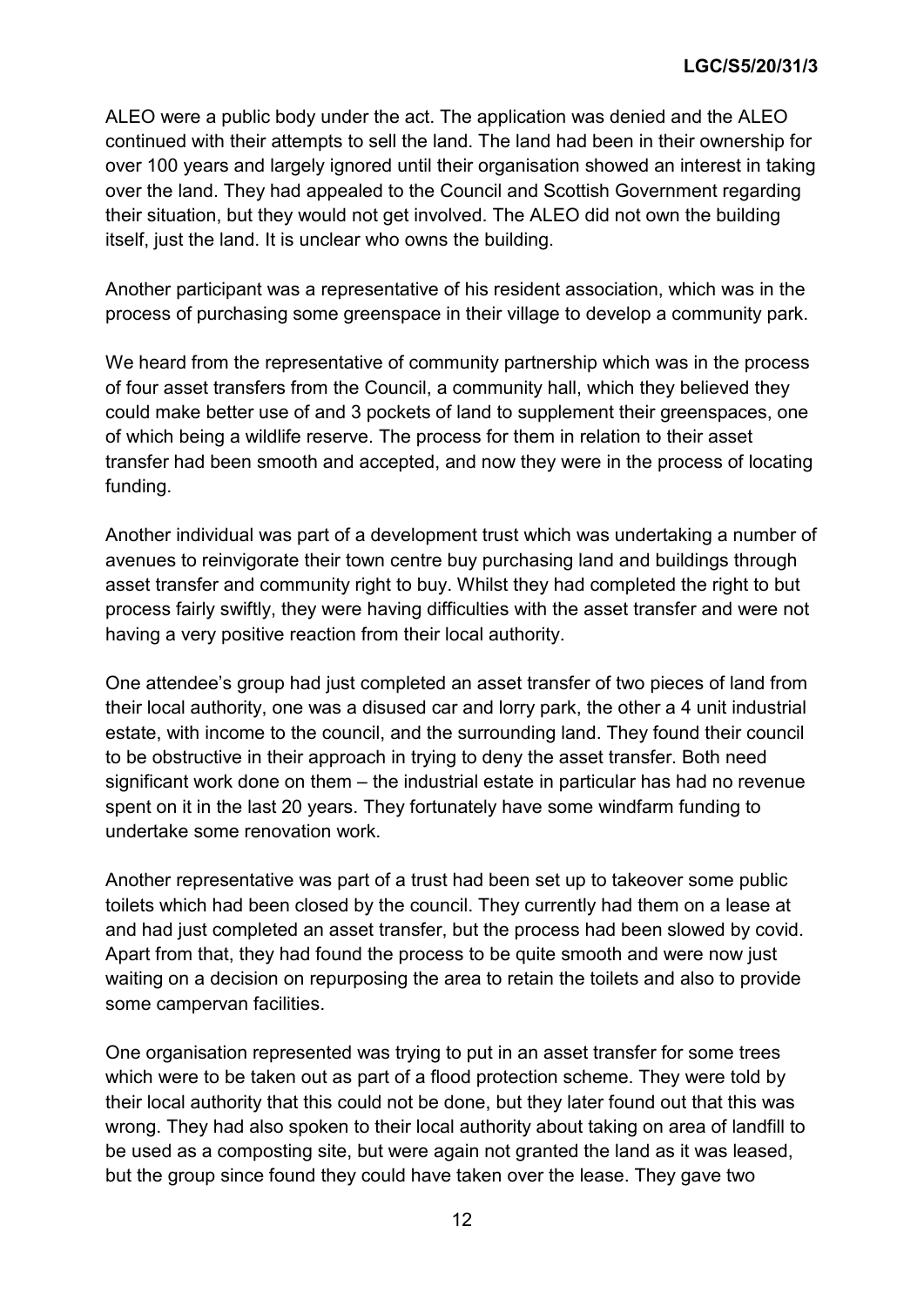ALEO were a public body under the act. The application was denied and the ALEO continued with their attempts to sell the land. The land had been in their ownership for over 100 years and largely ignored until their organisation showed an interest in taking over the land. They had appealed to the Council and Scottish Government regarding their situation, but they would not get involved. The ALEO did not own the building itself, just the land. It is unclear who owns the building.

Another participant was a representative of his resident association, which was in the process of purchasing some greenspace in their village to develop a community park.

We heard from the representative of community partnership which was in the process of four asset transfers from the Council, a community hall, which they believed they could make better use of and 3 pockets of land to supplement their greenspaces, one of which being a wildlife reserve. The process for them in relation to their asset transfer had been smooth and accepted, and now they were in the process of locating funding.

Another individual was part of a development trust which was undertaking a number of avenues to reinvigorate their town centre buy purchasing land and buildings through asset transfer and community right to buy. Whilst they had completed the right to but process fairly swiftly, they were having difficulties with the asset transfer and were not having a very positive reaction from their local authority.

One attendee's group had just completed an asset transfer of two pieces of land from their local authority, one was a disused car and lorry park, the other a 4 unit industrial estate, with income to the council, and the surrounding land. They found their council to be obstructive in their approach in trying to deny the asset transfer. Both need significant work done on them – the industrial estate in particular has had no revenue spent on it in the last 20 years. They fortunately have some windfarm funding to undertake some renovation work.

Another representative was part of a trust had been set up to takeover some public toilets which had been closed by the council. They currently had them on a lease at and had just completed an asset transfer, but the process had been slowed by covid. Apart from that, they had found the process to be quite smooth and were now just waiting on a decision on repurposing the area to retain the toilets and also to provide some campervan facilities.

One organisation represented was trying to put in an asset transfer for some trees which were to be taken out as part of a flood protection scheme. They were told by their local authority that this could not be done, but they later found out that this was wrong. They had also spoken to their local authority about taking on area of landfill to be used as a composting site, but were again not granted the land as it was leased, but the group since found they could have taken over the lease. They gave two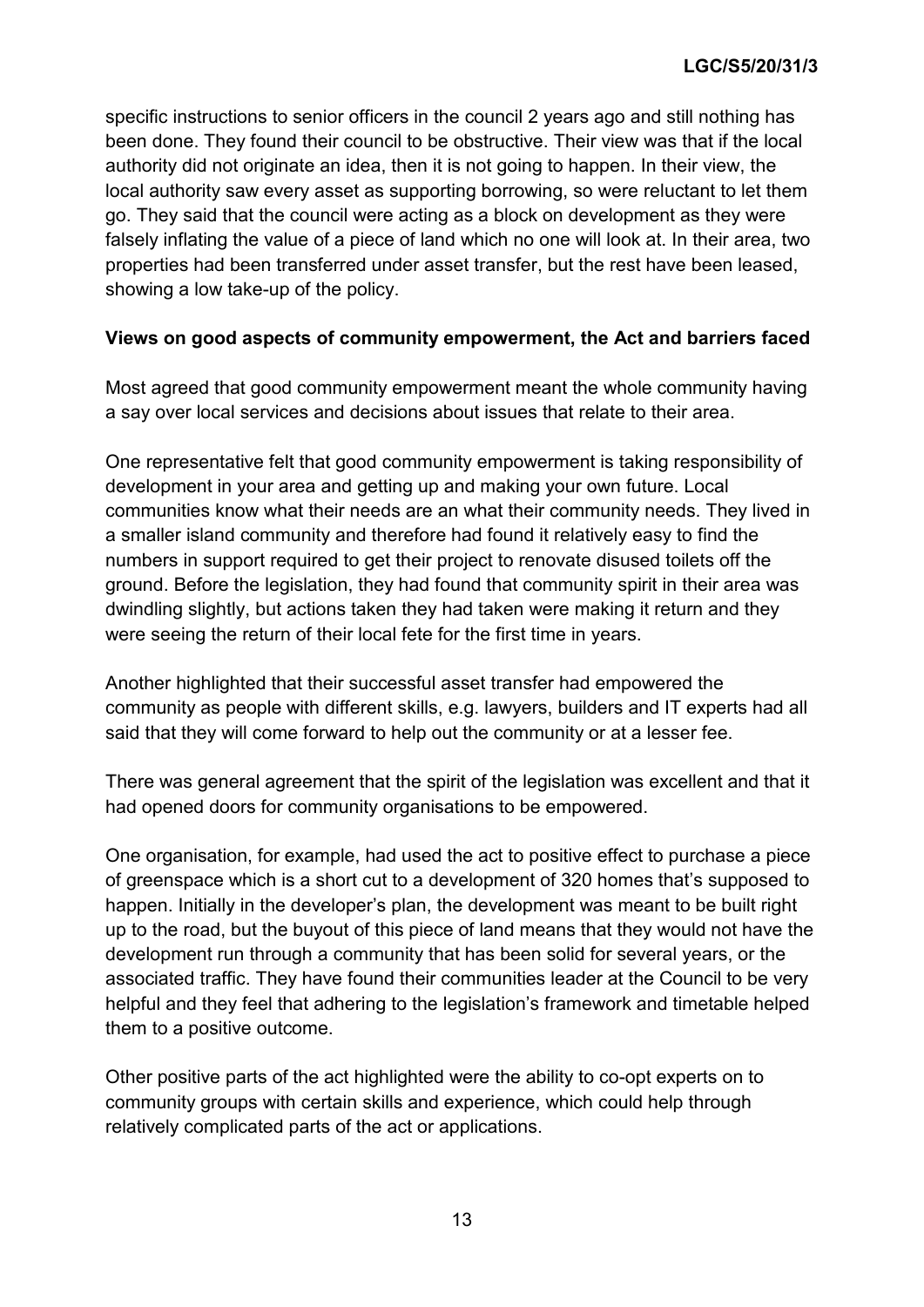specific instructions to senior officers in the council 2 years ago and still nothing has been done. They found their council to be obstructive. Their view was that if the local authority did not originate an idea, then it is not going to happen. In their view, the local authority saw every asset as supporting borrowing, so were reluctant to let them go. They said that the council were acting as a block on development as they were falsely inflating the value of a piece of land which no one will look at. In their area, two properties had been transferred under asset transfer, but the rest have been leased, showing a low take-up of the policy.

### **Views on good aspects of community empowerment, the Act and barriers faced**

Most agreed that good community empowerment meant the whole community having a say over local services and decisions about issues that relate to their area.

One representative felt that good community empowerment is taking responsibility of development in your area and getting up and making your own future. Local communities know what their needs are an what their community needs. They lived in a smaller island community and therefore had found it relatively easy to find the numbers in support required to get their project to renovate disused toilets off the ground. Before the legislation, they had found that community spirit in their area was dwindling slightly, but actions taken they had taken were making it return and they were seeing the return of their local fete for the first time in years.

Another highlighted that their successful asset transfer had empowered the community as people with different skills, e.g. lawyers, builders and IT experts had all said that they will come forward to help out the community or at a lesser fee.

There was general agreement that the spirit of the legislation was excellent and that it had opened doors for community organisations to be empowered.

One organisation, for example, had used the act to positive effect to purchase a piece of greenspace which is a short cut to a development of 320 homes that's supposed to happen. Initially in the developer's plan, the development was meant to be built right up to the road, but the buyout of this piece of land means that they would not have the development run through a community that has been solid for several years, or the associated traffic. They have found their communities leader at the Council to be very helpful and they feel that adhering to the legislation's framework and timetable helped them to a positive outcome.

Other positive parts of the act highlighted were the ability to co-opt experts on to community groups with certain skills and experience, which could help through relatively complicated parts of the act or applications.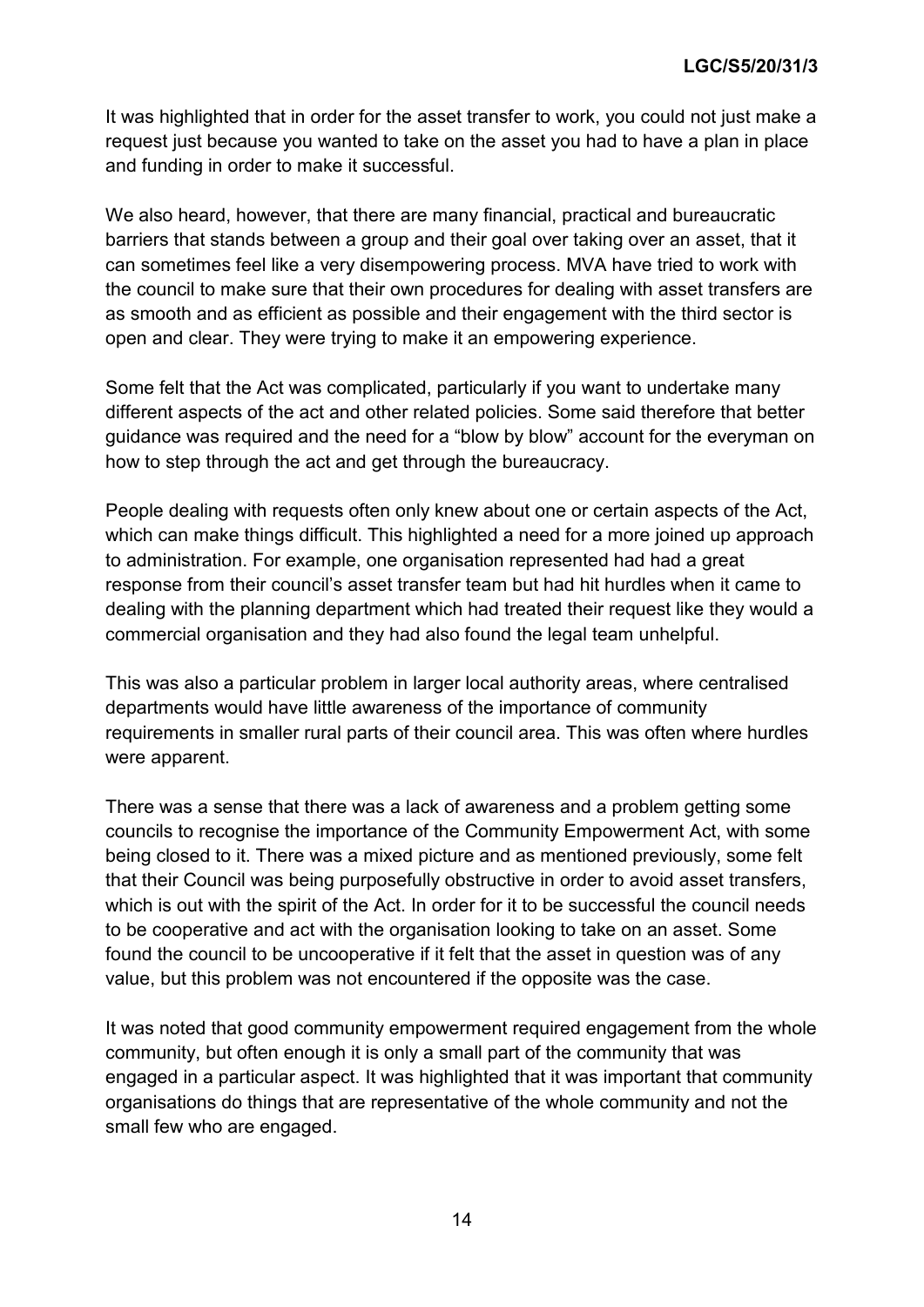It was highlighted that in order for the asset transfer to work, you could not just make a request just because you wanted to take on the asset you had to have a plan in place and funding in order to make it successful.

We also heard, however, that there are many financial, practical and bureaucratic barriers that stands between a group and their goal over taking over an asset, that it can sometimes feel like a very disempowering process. MVA have tried to work with the council to make sure that their own procedures for dealing with asset transfers are as smooth and as efficient as possible and their engagement with the third sector is open and clear. They were trying to make it an empowering experience.

Some felt that the Act was complicated, particularly if you want to undertake many different aspects of the act and other related policies. Some said therefore that better guidance was required and the need for a "blow by blow" account for the everyman on how to step through the act and get through the bureaucracy.

People dealing with requests often only knew about one or certain aspects of the Act, which can make things difficult. This highlighted a need for a more joined up approach to administration. For example, one organisation represented had had a great response from their council's asset transfer team but had hit hurdles when it came to dealing with the planning department which had treated their request like they would a commercial organisation and they had also found the legal team unhelpful.

This was also a particular problem in larger local authority areas, where centralised departments would have little awareness of the importance of community requirements in smaller rural parts of their council area. This was often where hurdles were apparent.

There was a sense that there was a lack of awareness and a problem getting some councils to recognise the importance of the Community Empowerment Act, with some being closed to it. There was a mixed picture and as mentioned previously, some felt that their Council was being purposefully obstructive in order to avoid asset transfers, which is out with the spirit of the Act. In order for it to be successful the council needs to be cooperative and act with the organisation looking to take on an asset. Some found the council to be uncooperative if it felt that the asset in question was of any value, but this problem was not encountered if the opposite was the case.

It was noted that good community empowerment required engagement from the whole community, but often enough it is only a small part of the community that was engaged in a particular aspect. It was highlighted that it was important that community organisations do things that are representative of the whole community and not the small few who are engaged.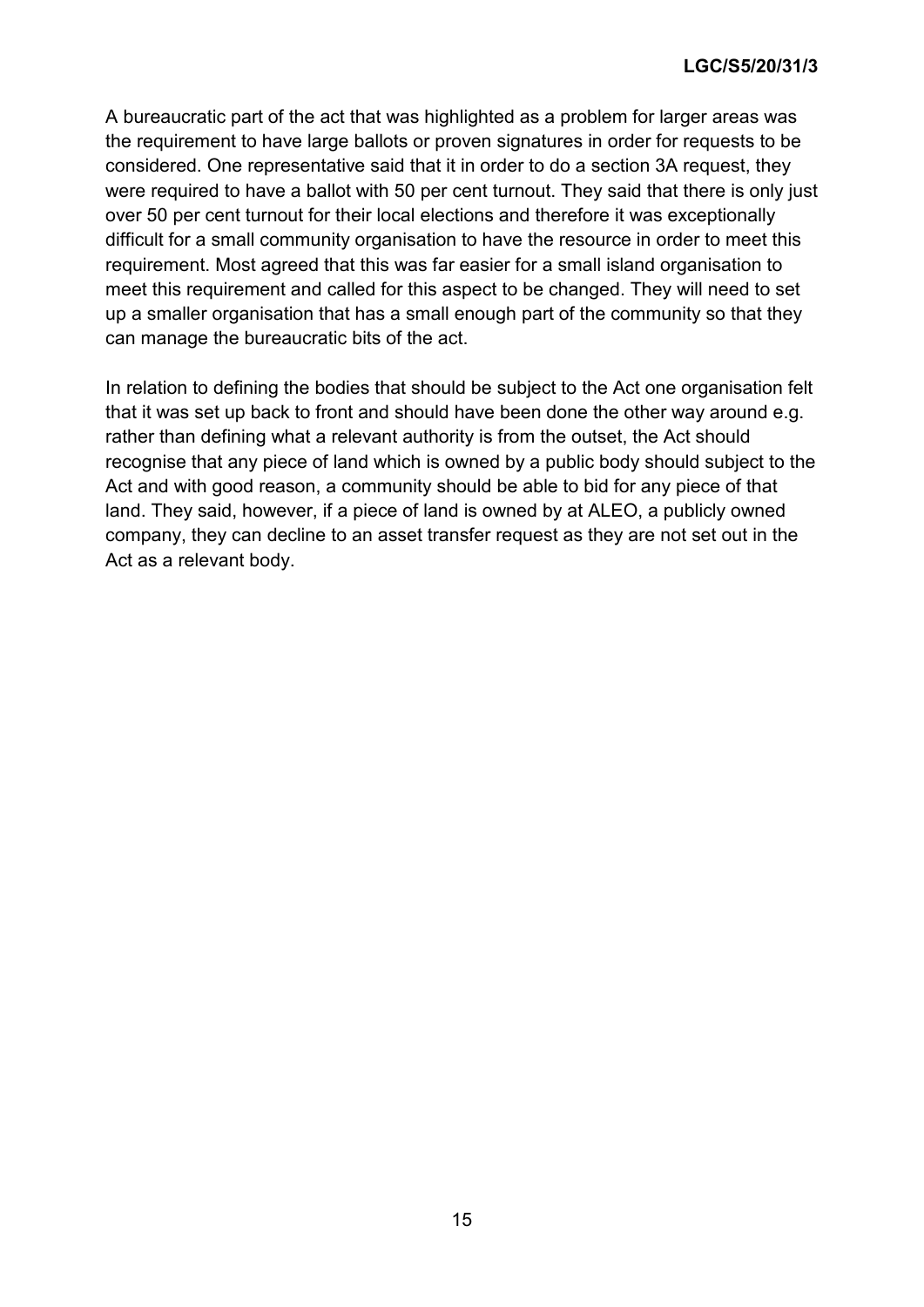A bureaucratic part of the act that was highlighted as a problem for larger areas was the requirement to have large ballots or proven signatures in order for requests to be considered. One representative said that it in order to do a section 3A request, they were required to have a ballot with 50 per cent turnout. They said that there is only just over 50 per cent turnout for their local elections and therefore it was exceptionally difficult for a small community organisation to have the resource in order to meet this requirement. Most agreed that this was far easier for a small island organisation to meet this requirement and called for this aspect to be changed. They will need to set up a smaller organisation that has a small enough part of the community so that they can manage the bureaucratic bits of the act.

In relation to defining the bodies that should be subject to the Act one organisation felt that it was set up back to front and should have been done the other way around e.g. rather than defining what a relevant authority is from the outset, the Act should recognise that any piece of land which is owned by a public body should subject to the Act and with good reason, a community should be able to bid for any piece of that land. They said, however, if a piece of land is owned by at ALEO, a publicly owned company, they can decline to an asset transfer request as they are not set out in the Act as a relevant body.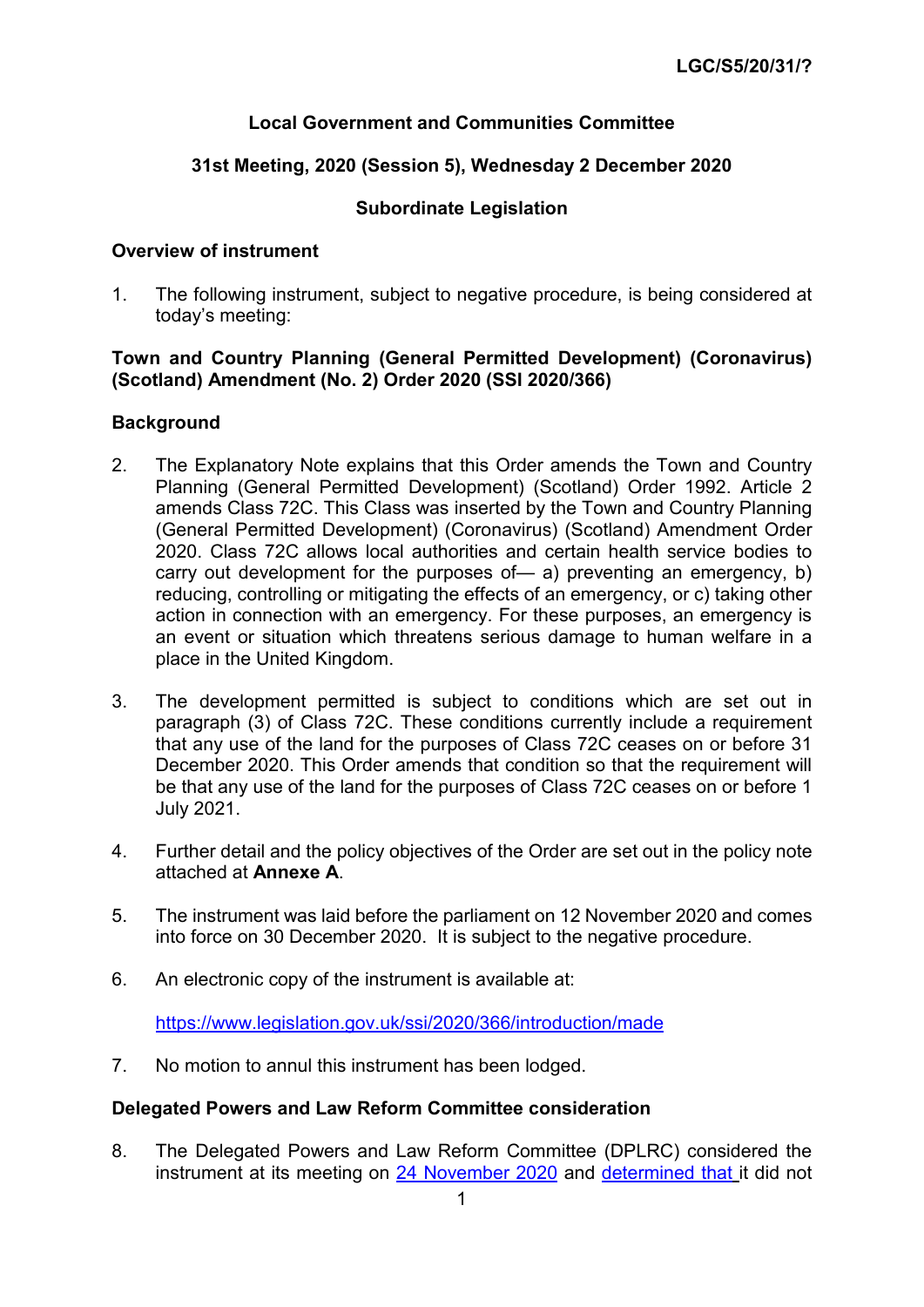### **Local Government and Communities Committee**

### **31st Meeting, 2020 (Session 5), Wednesday 2 December 2020**

#### **Subordinate Legislation**

#### **Overview of instrument**

1. The following instrument, subject to negative procedure, is being considered at today's meeting:

#### **Town and Country Planning (General Permitted Development) (Coronavirus) (Scotland) Amendment (No. 2) Order 2020 (SSI 2020/366)**

#### **Background**

- 2. The Explanatory Note explains that this Order amends the Town and Country Planning (General Permitted Development) (Scotland) Order 1992. Article 2 amends Class 72C. This Class was inserted by the Town and Country Planning (General Permitted Development) (Coronavirus) (Scotland) Amendment Order 2020. Class 72C allows local authorities and certain health service bodies to carry out development for the purposes of— a) preventing an emergency, b) reducing, controlling or mitigating the effects of an emergency, or c) taking other action in connection with an emergency. For these purposes, an emergency is an event or situation which threatens serious damage to human welfare in a place in the United Kingdom.
- 3. The development permitted is subject to conditions which are set out in paragraph (3) of Class 72C. These conditions currently include a requirement that any use of the land for the purposes of Class 72C ceases on or before 31 December 2020. This Order amends that condition so that the requirement will be that any use of the land for the purposes of Class 72C ceases on or before 1 July 2021.
- 4. Further detail and the policy objectives of the Order are set out in the policy note attached at **Annexe A**.
- 5. The instrument was laid before the parliament on 12 November 2020 and comes into force on 30 December 2020. It is subject to the negative procedure.
- 6. An electronic copy of the instrument is available at:

<https://www.legislation.gov.uk/ssi/2020/366/introduction/made>

7. No motion to annul this instrument has been lodged.

#### **Delegated Powers and Law Reform Committee consideration**

8. The Delegated Powers and Law Reform Committee (DPLRC) considered the instrument at its meeting on [24 November 2020](https://www.parliament.scot/S5_Delegated_Powers/Meeting%20Papers/201124DPLRPublicpack.pdf) and [determined that](https://sp-bpr-en-prod-cdnep.azureedge.net/published/DPLR/2020/11/26/1e7c3e57-23e8-4086-9348-19300e729a2d/DPLRS052020R69.pdf) it did not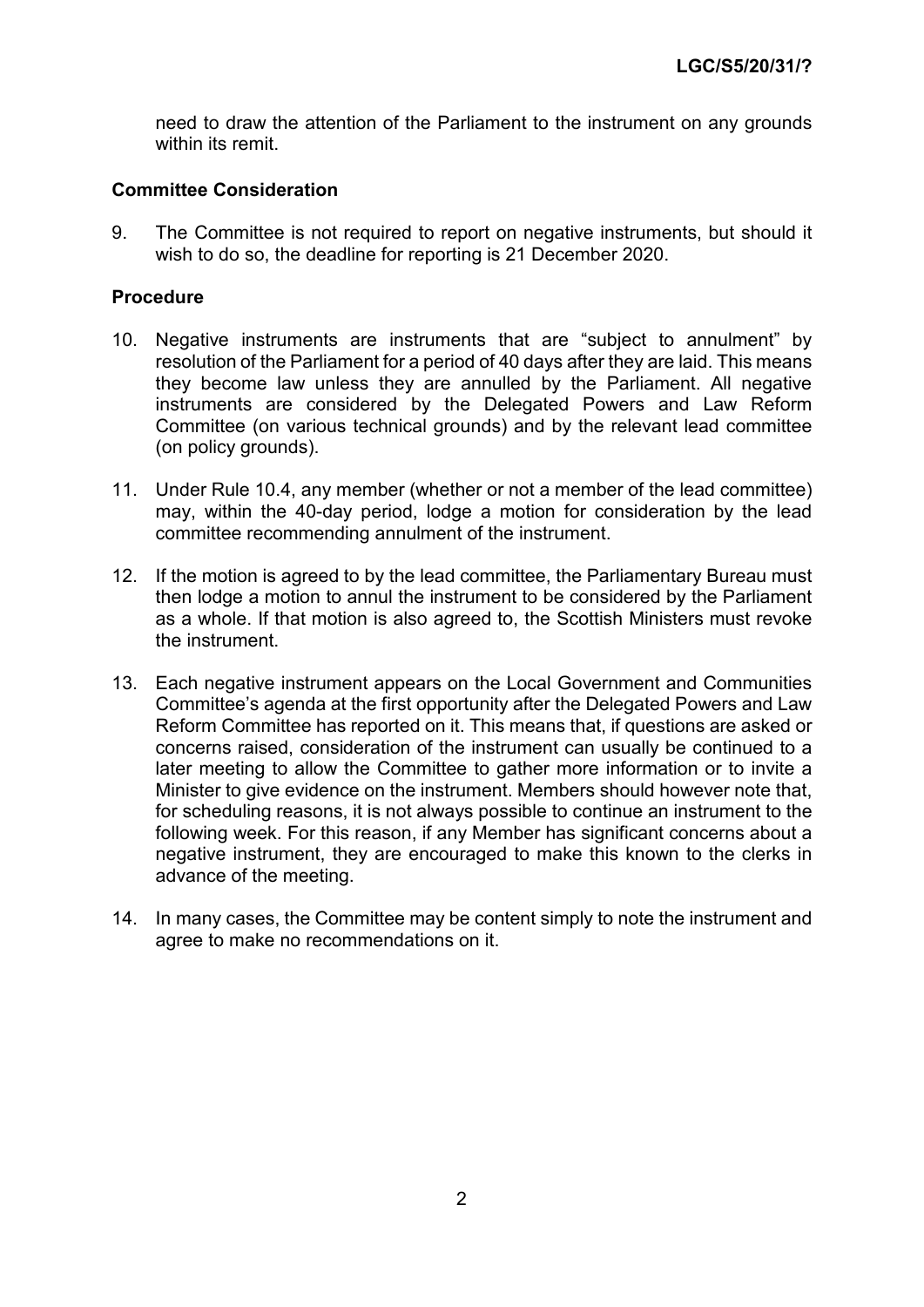need to draw the attention of the Parliament to the instrument on any grounds within its remit.

#### **Committee Consideration**

9. The Committee is not required to report on negative instruments, but should it wish to do so, the deadline for reporting is 21 December 2020.

#### **Procedure**

- 10. Negative instruments are instruments that are "subject to annulment" by resolution of the Parliament for a period of 40 days after they are laid. This means they become law unless they are annulled by the Parliament. All negative instruments are considered by the Delegated Powers and Law Reform Committee (on various technical grounds) and by the relevant lead committee (on policy grounds).
- 11. Under Rule 10.4, any member (whether or not a member of the lead committee) may, within the 40-day period, lodge a motion for consideration by the lead committee recommending annulment of the instrument.
- 12. If the motion is agreed to by the lead committee, the Parliamentary Bureau must then lodge a motion to annul the instrument to be considered by the Parliament as a whole. If that motion is also agreed to, the Scottish Ministers must revoke the instrument.
- 13. Each negative instrument appears on the Local Government and Communities Committee's agenda at the first opportunity after the Delegated Powers and Law Reform Committee has reported on it. This means that, if questions are asked or concerns raised, consideration of the instrument can usually be continued to a later meeting to allow the Committee to gather more information or to invite a Minister to give evidence on the instrument. Members should however note that, for scheduling reasons, it is not always possible to continue an instrument to the following week. For this reason, if any Member has significant concerns about a negative instrument, they are encouraged to make this known to the clerks in advance of the meeting.
- 14. In many cases, the Committee may be content simply to note the instrument and agree to make no recommendations on it.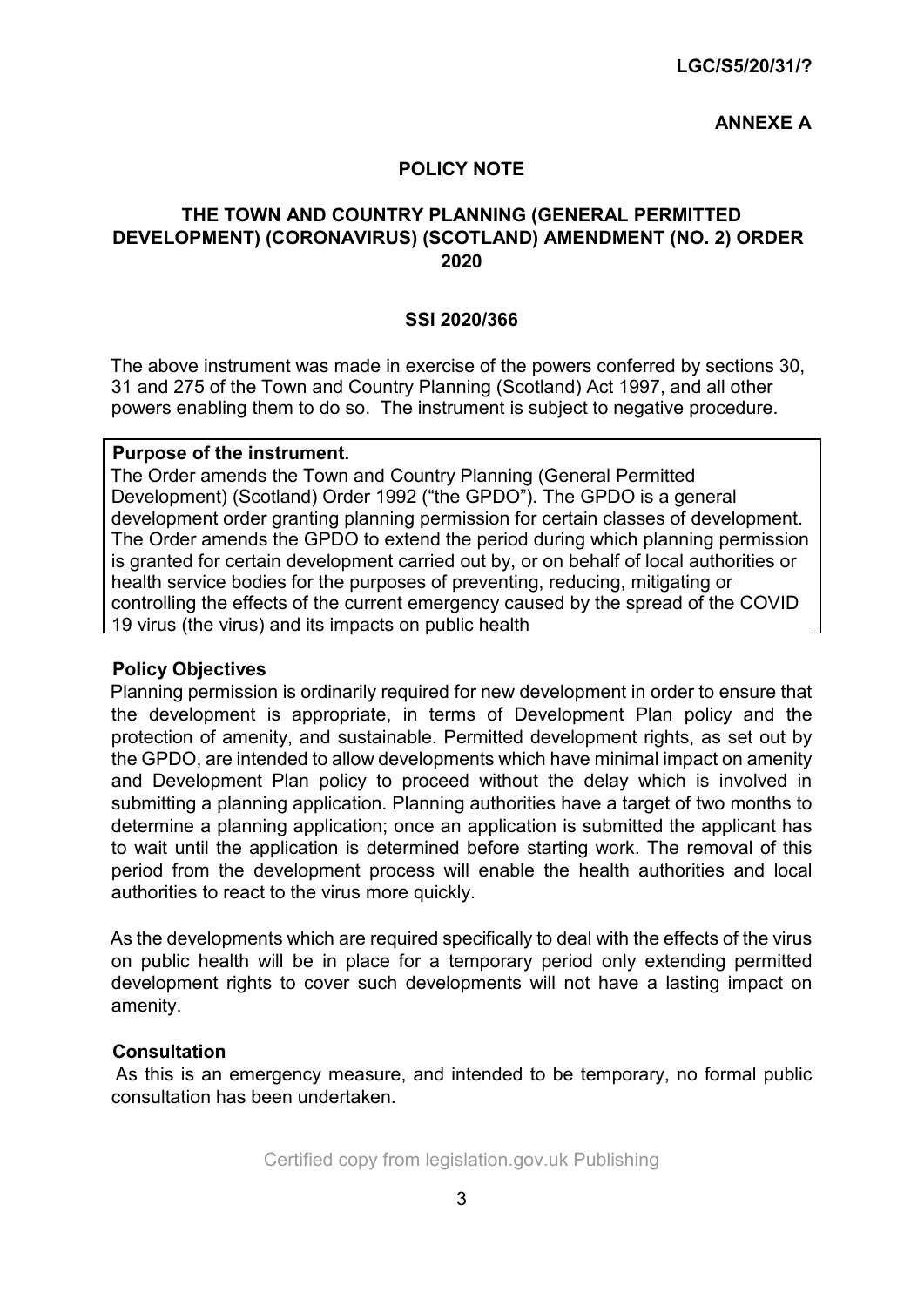#### **ANNEXE A**

#### **POLICY NOTE**

### **THE TOWN AND COUNTRY PLANNING (GENERAL PERMITTED DEVELOPMENT) (CORONAVIRUS) (SCOTLAND) AMENDMENT (NO. 2) ORDER 2020**

#### **SSI 2020/366**

The above instrument was made in exercise of the powers conferred by sections 30, 31 and 275 of the Town and Country Planning (Scotland) Act 1997, and all other powers enabling them to do so. The instrument is subject to negative procedure.

#### **Purpose of the instrument.**

The Order amends the Town and Country Planning (General Permitted Development) (Scotland) Order 1992 ("the GPDO"). The GPDO is a general development order granting planning permission for certain classes of development. The Order amends the GPDO to extend the period during which planning permission is granted for certain development carried out by, or on behalf of local authorities or health service bodies for the purposes of preventing, reducing, mitigating or controlling the effects of the current emergency caused by the spread of the COVID 19 virus (the virus) and its impacts on public health

#### **Policy Objectives**

Planning permission is ordinarily required for new development in order to ensure that the development is appropriate, in terms of Development Plan policy and the protection of amenity, and sustainable. Permitted development rights, as set out by the GPDO, are intended to allow developments which have minimal impact on amenity and Development Plan policy to proceed without the delay which is involved in submitting a planning application. Planning authorities have a target of two months to determine a planning application; once an application is submitted the applicant has to wait until the application is determined before starting work. The removal of this period from the development process will enable the health authorities and local authorities to react to the virus more quickly.

As the developments which are required specifically to deal with the effects of the virus on public health will be in place for a temporary period only extending permitted development rights to cover such developments will not have a lasting impact on amenity.

#### **Consultation**

As this is an emergency measure, and intended to be temporary, no formal public consultation has been undertaken.

Certified copy from legislation.gov.uk Publishing